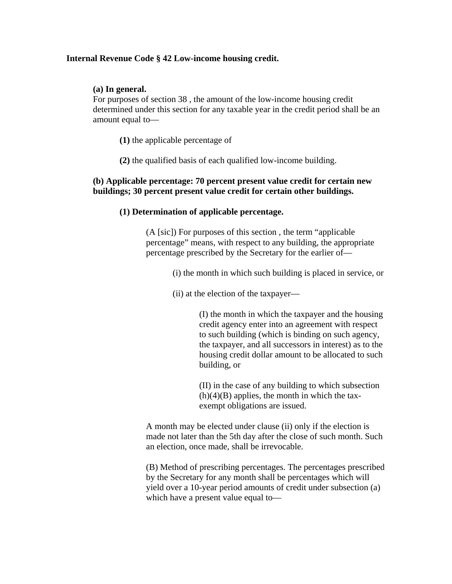# **Internal Revenue Code § 42 Low-income housing credit.**

# **(a) In general.**

For purposes of section 38 , the amount of the low-income housing credit determined under this section for any taxable year in the credit period shall be an amount equal to—

**(1)** the applicable percentage of

**(2)** the qualified basis of each qualified low-income building.

# **(b) Applicable percentage: 70 percent present value credit for certain new buildings; 30 percent present value credit for certain other buildings.**

# **(1) Determination of applicable percentage.**

(A [sic]) For purposes of this section , the term "applicable percentage" means, with respect to any building, the appropriate percentage prescribed by the Secretary for the earlier of—

- (i) the month in which such building is placed in service, or
- (ii) at the election of the taxpayer—

(I) the month in which the taxpayer and the housing credit agency enter into an agreement with respect to such building (which is binding on such agency, the taxpayer, and all successors in interest) as to the housing credit dollar amount to be allocated to such building, or

(II) in the case of any building to which subsection  $(h)(4)(B)$  applies, the month in which the taxexempt obligations are issued.

A month may be elected under clause (ii) only if the election is made not later than the 5th day after the close of such month. Such an election, once made, shall be irrevocable.

(B) Method of prescribing percentages. The percentages prescribed by the Secretary for any month shall be percentages which will yield over a 10-year period amounts of credit under subsection (a) which have a present value equal to—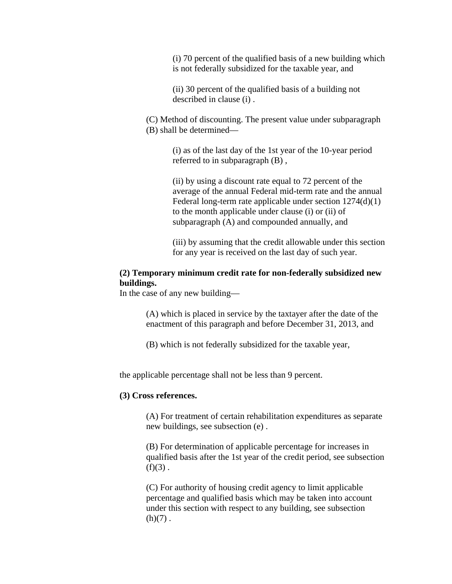(i) 70 percent of the qualified basis of a new building which is not federally subsidized for the taxable year, and

(ii) 30 percent of the qualified basis of a building not described in clause (i) .

(C) Method of discounting. The present value under subparagraph (B) shall be determined—

> (i) as of the last day of the 1st year of the 10-year period referred to in subparagraph (B) ,

(ii) by using a discount rate equal to 72 percent of the average of the annual Federal mid-term rate and the annual Federal long-term rate applicable under section 1274(d)(1) to the month applicable under clause (i) or (ii) of subparagraph (A) and compounded annually, and

(iii) by assuming that the credit allowable under this section for any year is received on the last day of such year.

# **(2) Temporary minimum credit rate for non-federally subsidized new buildings.**

In the case of any new building—

(A) which is placed in service by the taxtayer after the date of the enactment of this paragraph and before December 31, 2013, and

(B) which is not federally subsidized for the taxable year,

the applicable percentage shall not be less than 9 percent.

## **(3) Cross references.**

(A) For treatment of certain rehabilitation expenditures as separate new buildings, see subsection (e) .

(B) For determination of applicable percentage for increases in qualified basis after the 1st year of the credit period, see subsection  $(f)(3)$ .

(C) For authority of housing credit agency to limit applicable percentage and qualified basis which may be taken into account under this section with respect to any building, see subsection  $(h)(7)$ .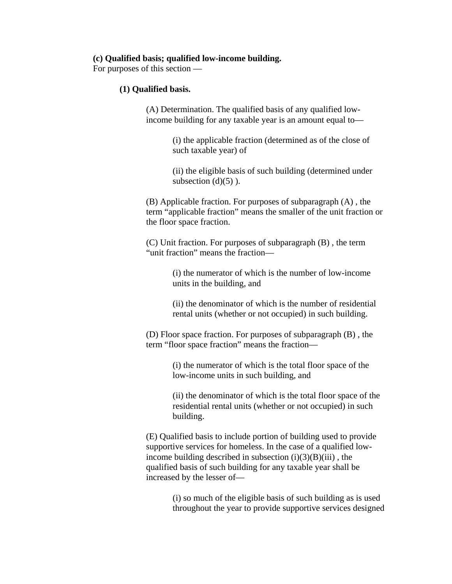## **(c) Qualified basis; qualified low-income building.**

For purposes of this section —

## **(1) Qualified basis.**

(A) Determination. The qualified basis of any qualified lowincome building for any taxable year is an amount equal to—

> (i) the applicable fraction (determined as of the close of such taxable year) of

(ii) the eligible basis of such building (determined under subsection  $(d)(5)$ ).

(B) Applicable fraction. For purposes of subparagraph (A) , the term "applicable fraction" means the smaller of the unit fraction or the floor space fraction.

(C) Unit fraction. For purposes of subparagraph (B) , the term "unit fraction" means the fraction—

> (i) the numerator of which is the number of low-income units in the building, and

(ii) the denominator of which is the number of residential rental units (whether or not occupied) in such building.

(D) Floor space fraction. For purposes of subparagraph (B) , the term "floor space fraction" means the fraction—

> (i) the numerator of which is the total floor space of the low-income units in such building, and

(ii) the denominator of which is the total floor space of the residential rental units (whether or not occupied) in such building.

(E) Qualified basis to include portion of building used to provide supportive services for homeless. In the case of a qualified lowincome building described in subsection  $(i)(3)(B)(iii)$ , the qualified basis of such building for any taxable year shall be increased by the lesser of—

> (i) so much of the eligible basis of such building as is used throughout the year to provide supportive services designed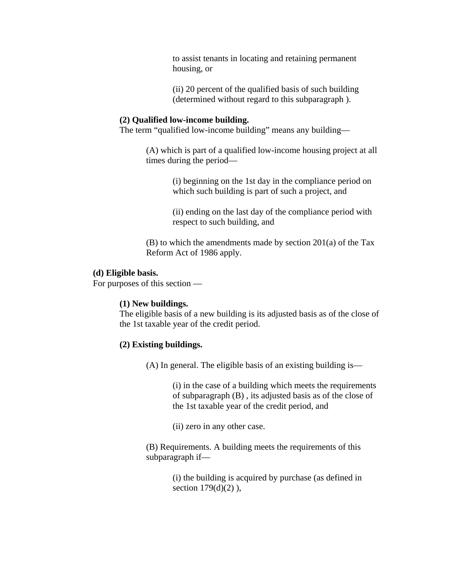to assist tenants in locating and retaining permanent housing, or

(ii) 20 percent of the qualified basis of such building (determined without regard to this subparagraph ).

## **(2) Qualified low-income building.**

The term "qualified low-income building" means any building—

(A) which is part of a qualified low-income housing project at all times during the period—

> (i) beginning on the 1st day in the compliance period on which such building is part of such a project, and

> (ii) ending on the last day of the compliance period with respect to such building, and

(B) to which the amendments made by section 201(a) of the Tax Reform Act of 1986 apply.

# **(d) Eligible basis.**

For purposes of this section —

## **(1) New buildings.**

The eligible basis of a new building is its adjusted basis as of the close of the 1st taxable year of the credit period.

## **(2) Existing buildings.**

(A) In general. The eligible basis of an existing building is—

(i) in the case of a building which meets the requirements of subparagraph (B) , its adjusted basis as of the close of the 1st taxable year of the credit period, and

(ii) zero in any other case.

(B) Requirements. A building meets the requirements of this subparagraph if—

> (i) the building is acquired by purchase (as defined in section  $179(d)(2)$ ),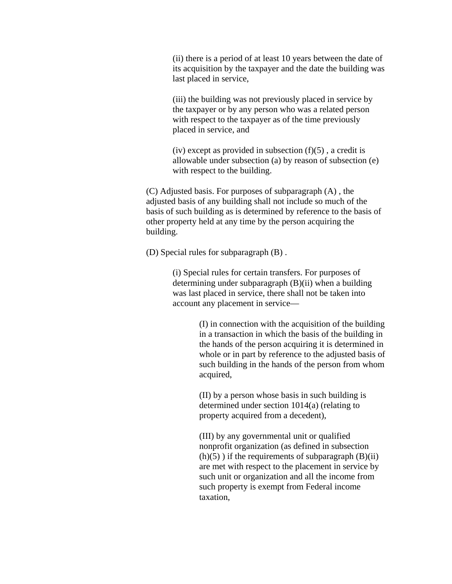(ii) there is a period of at least 10 years between the date of its acquisition by the taxpayer and the date the building was last placed in service,

(iii) the building was not previously placed in service by the taxpayer or by any person who was a related person with respect to the taxpayer as of the time previously placed in service, and

(iv) except as provided in subsection  $(f)(5)$ , a credit is allowable under subsection (a) by reason of subsection (e) with respect to the building.

(C) Adjusted basis. For purposes of subparagraph (A) , the adjusted basis of any building shall not include so much of the basis of such building as is determined by reference to the basis of other property held at any time by the person acquiring the building.

(D) Special rules for subparagraph (B) .

(i) Special rules for certain transfers. For purposes of determining under subparagraph (B)(ii) when a building was last placed in service, there shall not be taken into account any placement in service—

> (I) in connection with the acquisition of the building in a transaction in which the basis of the building in the hands of the person acquiring it is determined in whole or in part by reference to the adjusted basis of such building in the hands of the person from whom acquired,

(II) by a person whose basis in such building is determined under section 1014(a) (relating to property acquired from a decedent),

(III) by any governmental unit or qualified nonprofit organization (as defined in subsection  $(h)(5)$ ) if the requirements of subparagraph  $(B)(ii)$ are met with respect to the placement in service by such unit or organization and all the income from such property is exempt from Federal income taxation,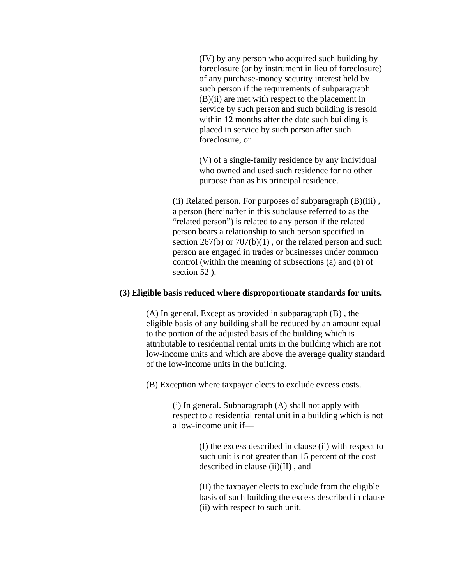(IV) by any person who acquired such building by foreclosure (or by instrument in lieu of foreclosure) of any purchase-money security interest held by such person if the requirements of subparagraph (B)(ii) are met with respect to the placement in service by such person and such building is resold within 12 months after the date such building is placed in service by such person after such foreclosure, or

(V) of a single-family residence by any individual who owned and used such residence for no other purpose than as his principal residence.

(ii) Related person. For purposes of subparagraph (B)(iii) , a person (hereinafter in this subclause referred to as the "related person") is related to any person if the related person bears a relationship to such person specified in section  $267(b)$  or  $707(b)(1)$ , or the related person and such person are engaged in trades or businesses under common control (within the meaning of subsections (a) and (b) of section 52 ).

#### **(3) Eligible basis reduced where disproportionate standards for units.**

(A) In general. Except as provided in subparagraph (B) , the eligible basis of any building shall be reduced by an amount equal to the portion of the adjusted basis of the building which is attributable to residential rental units in the building which are not low-income units and which are above the average quality standard of the low-income units in the building.

(B) Exception where taxpayer elects to exclude excess costs.

(i) In general. Subparagraph (A) shall not apply with respect to a residential rental unit in a building which is not a low-income unit if—

> (I) the excess described in clause (ii) with respect to such unit is not greater than 15 percent of the cost described in clause (ii)(II) , and

> (II) the taxpayer elects to exclude from the eligible basis of such building the excess described in clause (ii) with respect to such unit.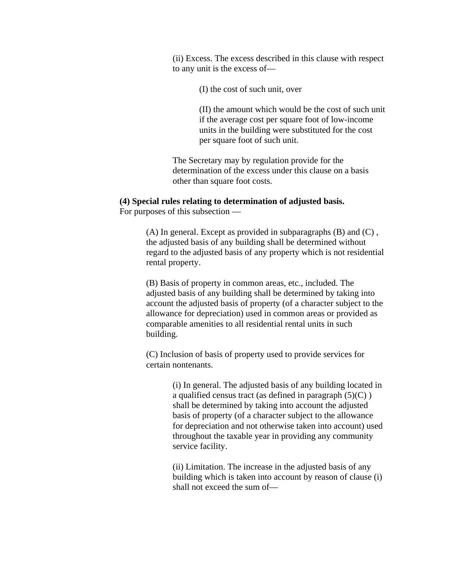(ii) Excess. The excess described in this clause with respect to any unit is the excess of—

(I) the cost of such unit, over

(II) the amount which would be the cost of such unit if the average cost per square foot of low-income units in the building were substituted for the cost per square foot of such unit.

The Secretary may by regulation provide for the determination of the excess under this clause on a basis other than square foot costs.

# **(4) Special rules relating to determination of adjusted basis.**

For purposes of this subsection —

(A) In general. Except as provided in subparagraphs (B) and (C) , the adjusted basis of any building shall be determined without regard to the adjusted basis of any property which is not residential rental property.

(B) Basis of property in common areas, etc., included. The adjusted basis of any building shall be determined by taking into account the adjusted basis of property (of a character subject to the allowance for depreciation) used in common areas or provided as comparable amenities to all residential rental units in such building.

(C) Inclusion of basis of property used to provide services for certain nontenants.

> (i) In general. The adjusted basis of any building located in a qualified census tract (as defined in paragraph  $(5)(C)$ ) shall be determined by taking into account the adjusted basis of property (of a character subject to the allowance for depreciation and not otherwise taken into account) used throughout the taxable year in providing any community service facility.

> (ii) Limitation. The increase in the adjusted basis of any building which is taken into account by reason of clause (i) shall not exceed the sum of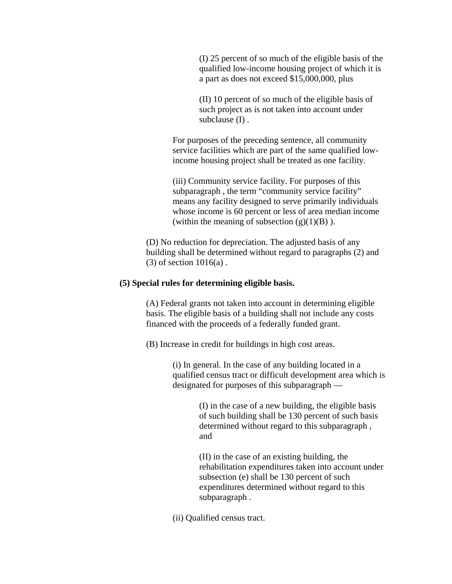(I) 25 percent of so much of the eligible basis of the qualified low-income housing project of which it is a part as does not exceed \$15,000,000, plus

(II) 10 percent of so much of the eligible basis of such project as is not taken into account under subclause (I) .

For purposes of the preceding sentence, all community service facilities which are part of the same qualified lowincome housing project shall be treated as one facility.

(iii) Community service facility. For purposes of this subparagraph, the term "community service facility" means any facility designed to serve primarily individuals whose income is 60 percent or less of area median income (within the meaning of subsection  $(g)(1)(B)$ ).

(D) No reduction for depreciation. The adjusted basis of any building shall be determined without regard to paragraphs (2) and  $(3)$  of section  $1016(a)$ .

#### **(5) Special rules for determining eligible basis.**

(A) Federal grants not taken into account in determining eligible basis. The eligible basis of a building shall not include any costs financed with the proceeds of a federally funded grant.

(B) Increase in credit for buildings in high cost areas.

(i) In general. In the case of any building located in a qualified census tract or difficult development area which is designated for purposes of this subparagraph —

> (I) in the case of a new building, the eligible basis of such building shall be 130 percent of such basis determined without regard to this subparagraph , and

(II) in the case of an existing building, the rehabilitation expenditures taken into account under subsection (e) shall be 130 percent of such expenditures determined without regard to this subparagraph .

(ii) Qualified census tract.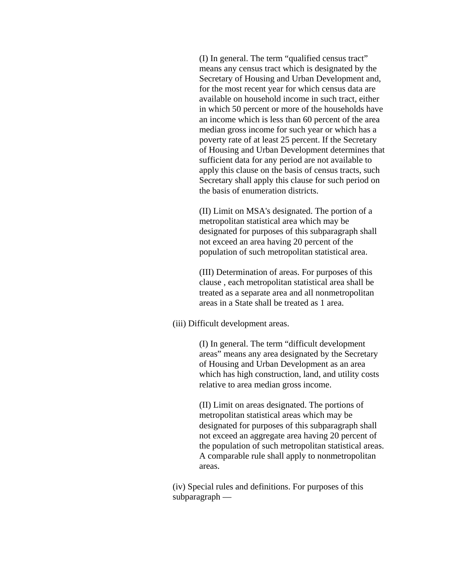(I) In general. The term "qualified census tract" means any census tract which is designated by the Secretary of Housing and Urban Development and, for the most recent year for which census data are available on household income in such tract, either in which 50 percent or more of the households have an income which is less than 60 percent of the area median gross income for such year or which has a poverty rate of at least 25 percent. If the Secretary of Housing and Urban Development determines that sufficient data for any period are not available to apply this clause on the basis of census tracts, such Secretary shall apply this clause for such period on the basis of enumeration districts.

(II) Limit on MSA's designated. The portion of a metropolitan statistical area which may be designated for purposes of this subparagraph shall not exceed an area having 20 percent of the population of such metropolitan statistical area.

(III) Determination of areas. For purposes of this clause , each metropolitan statistical area shall be treated as a separate area and all nonmetropolitan areas in a State shall be treated as 1 area.

(iii) Difficult development areas.

(I) In general. The term "difficult development areas" means any area designated by the Secretary of Housing and Urban Development as an area which has high construction, land, and utility costs relative to area median gross income.

(II) Limit on areas designated. The portions of metropolitan statistical areas which may be designated for purposes of this subparagraph shall not exceed an aggregate area having 20 percent of the population of such metropolitan statistical areas. A comparable rule shall apply to nonmetropolitan areas.

(iv) Special rules and definitions. For purposes of this subparagraph —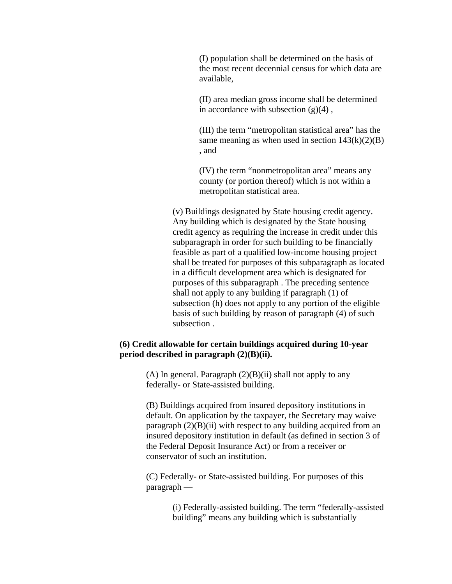(I) population shall be determined on the basis of the most recent decennial census for which data are available,

(II) area median gross income shall be determined in accordance with subsection  $(g)(4)$ ,

(III) the term "metropolitan statistical area" has the same meaning as when used in section  $143(k)(2)(B)$ , and

(IV) the term "nonmetropolitan area" means any county (or portion thereof) which is not within a metropolitan statistical area.

(v) Buildings designated by State housing credit agency. Any building which is designated by the State housing credit agency as requiring the increase in credit under this subparagraph in order for such building to be financially feasible as part of a qualified low-income housing project shall be treated for purposes of this subparagraph as located in a difficult development area which is designated for purposes of this subparagraph . The preceding sentence shall not apply to any building if paragraph (1) of subsection (h) does not apply to any portion of the eligible basis of such building by reason of paragraph (4) of such subsection .

# **(6) Credit allowable for certain buildings acquired during 10-year period described in paragraph (2)(B)(ii).**

(A) In general. Paragraph  $(2)(B)(ii)$  shall not apply to any federally- or State-assisted building.

(B) Buildings acquired from insured depository institutions in default. On application by the taxpayer, the Secretary may waive paragraph  $(2)(B)(ii)$  with respect to any building acquired from an insured depository institution in default (as defined in section 3 of the Federal Deposit Insurance Act) or from a receiver or conservator of such an institution.

(C) Federally- or State-assisted building. For purposes of this paragraph —

> (i) Federally-assisted building. The term "federally-assisted building" means any building which is substantially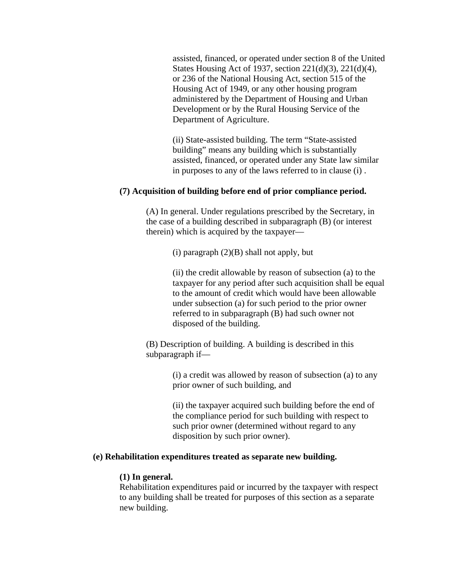assisted, financed, or operated under section 8 of the United States Housing Act of 1937, section 221(d)(3), 221(d)(4), or 236 of the National Housing Act, section 515 of the Housing Act of 1949, or any other housing program administered by the Department of Housing and Urban Development or by the Rural Housing Service of the Department of Agriculture.

(ii) State-assisted building. The term "State-assisted building" means any building which is substantially assisted, financed, or operated under any State law similar in purposes to any of the laws referred to in clause (i) .

## **(7) Acquisition of building before end of prior compliance period.**

(A) In general. Under regulations prescribed by the Secretary, in the case of a building described in subparagraph (B) (or interest therein) which is acquired by the taxpayer—

(i) paragraph  $(2)(B)$  shall not apply, but

(ii) the credit allowable by reason of subsection (a) to the taxpayer for any period after such acquisition shall be equal to the amount of credit which would have been allowable under subsection (a) for such period to the prior owner referred to in subparagraph (B) had such owner not disposed of the building.

(B) Description of building. A building is described in this subparagraph if—

> (i) a credit was allowed by reason of subsection (a) to any prior owner of such building, and

(ii) the taxpayer acquired such building before the end of the compliance period for such building with respect to such prior owner (determined without regard to any disposition by such prior owner).

# **(e) Rehabilitation expenditures treated as separate new building.**

#### **(1) In general.**

Rehabilitation expenditures paid or incurred by the taxpayer with respect to any building shall be treated for purposes of this section as a separate new building.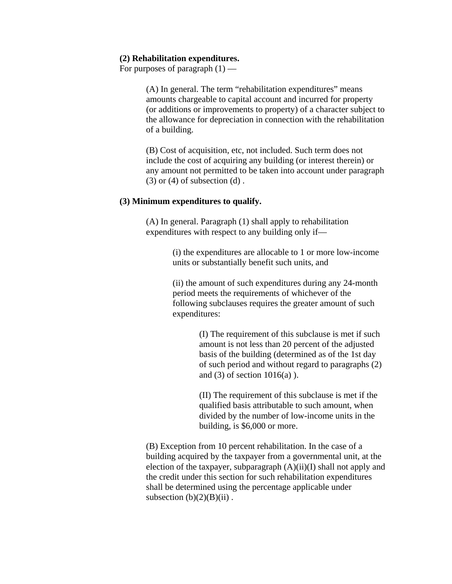## **(2) Rehabilitation expenditures.**

For purposes of paragraph  $(1)$  —

(A) In general. The term "rehabilitation expenditures" means amounts chargeable to capital account and incurred for property (or additions or improvements to property) of a character subject to the allowance for depreciation in connection with the rehabilitation of a building.

(B) Cost of acquisition, etc, not included. Such term does not include the cost of acquiring any building (or interest therein) or any amount not permitted to be taken into account under paragraph  $(3)$  or  $(4)$  of subsection  $(d)$ .

#### **(3) Minimum expenditures to qualify.**

(A) In general. Paragraph (1) shall apply to rehabilitation expenditures with respect to any building only if—

> (i) the expenditures are allocable to 1 or more low-income units or substantially benefit such units, and

> (ii) the amount of such expenditures during any 24-month period meets the requirements of whichever of the following subclauses requires the greater amount of such expenditures:

> > (I) The requirement of this subclause is met if such amount is not less than 20 percent of the adjusted basis of the building (determined as of the 1st day of such period and without regard to paragraphs (2) and  $(3)$  of section  $1016(a)$ ).

(II) The requirement of this subclause is met if the qualified basis attributable to such amount, when divided by the number of low-income units in the building, is \$6,000 or more.

(B) Exception from 10 percent rehabilitation. In the case of a building acquired by the taxpayer from a governmental unit, at the election of the taxpayer, subparagraph  $(A)(ii)(I)$  shall not apply and the credit under this section for such rehabilitation expenditures shall be determined using the percentage applicable under subsection  $(b)(2)(B)(ii)$ .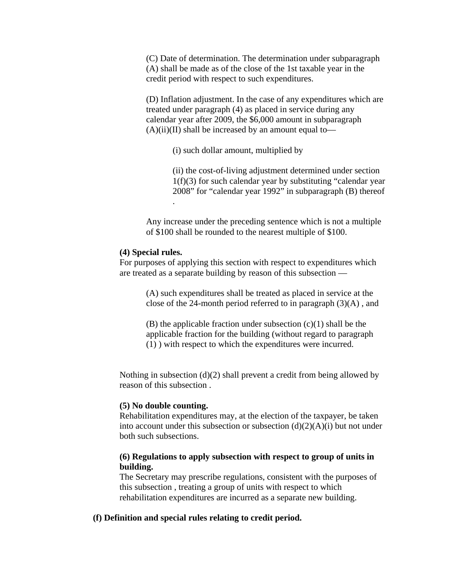(C) Date of determination. The determination under subparagraph (A) shall be made as of the close of the 1st taxable year in the credit period with respect to such expenditures.

(D) Inflation adjustment. In the case of any expenditures which are treated under paragraph (4) as placed in service during any calendar year after 2009, the \$6,000 amount in subparagraph  $(A)(ii)(II)$  shall be increased by an amount equal to—

(i) such dollar amount, multiplied by

(ii) the cost-of-living adjustment determined under section  $1(f)(3)$  for such calendar year by substituting "calendar year 2008" for "calendar year 1992" in subparagraph (B) thereof .

Any increase under the preceding sentence which is not a multiple of \$100 shall be rounded to the nearest multiple of \$100.

## **(4) Special rules.**

For purposes of applying this section with respect to expenditures which are treated as a separate building by reason of this subsection —

> (A) such expenditures shall be treated as placed in service at the close of the 24-month period referred to in paragraph (3)(A) , and

 $(B)$  the applicable fraction under subsection  $(c)(1)$  shall be the applicable fraction for the building (without regard to paragraph (1) ) with respect to which the expenditures were incurred.

Nothing in subsection (d)(2) shall prevent a credit from being allowed by reason of this subsection .

## **(5) No double counting.**

Rehabilitation expenditures may, at the election of the taxpayer, be taken into account under this subsection or subsection  $(d)(2)(A)(i)$  but not under both such subsections.

## **(6) Regulations to apply subsection with respect to group of units in building.**

The Secretary may prescribe regulations, consistent with the purposes of this subsection , treating a group of units with respect to which rehabilitation expenditures are incurred as a separate new building.

#### **(f) Definition and special rules relating to credit period.**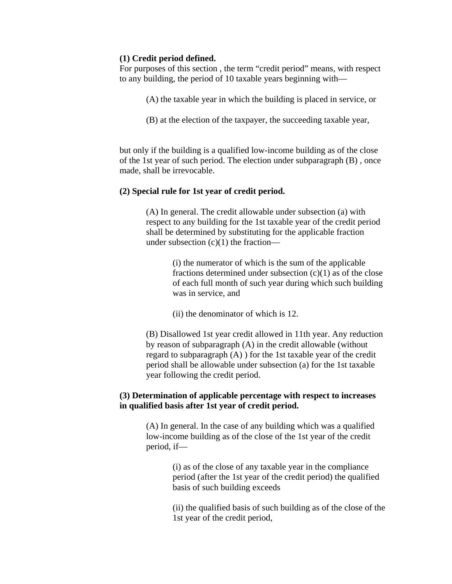# **(1) Credit period defined.**

For purposes of this section , the term "credit period" means, with respect to any building, the period of 10 taxable years beginning with—

- (A) the taxable year in which the building is placed in service, or
- (B) at the election of the taxpayer, the succeeding taxable year,

but only if the building is a qualified low-income building as of the close of the 1st year of such period. The election under subparagraph (B) , once made, shall be irrevocable.

# **(2) Special rule for 1st year of credit period.**

(A) In general. The credit allowable under subsection (a) with respect to any building for the 1st taxable year of the credit period shall be determined by substituting for the applicable fraction under subsection  $(c)(1)$  the fraction—

> (i) the numerator of which is the sum of the applicable fractions determined under subsection  $(c)(1)$  as of the close of each full month of such year during which such building was in service, and

(ii) the denominator of which is 12.

(B) Disallowed 1st year credit allowed in 11th year. Any reduction by reason of subparagraph (A) in the credit allowable (without regard to subparagraph (A) ) for the 1st taxable year of the credit period shall be allowable under subsection (a) for the 1st taxable year following the credit period.

# **(3) Determination of applicable percentage with respect to increases in qualified basis after 1st year of credit period.**

(A) In general. In the case of any building which was a qualified low-income building as of the close of the 1st year of the credit period, if—

> (i) as of the close of any taxable year in the compliance period (after the 1st year of the credit period) the qualified basis of such building exceeds

(ii) the qualified basis of such building as of the close of the 1st year of the credit period,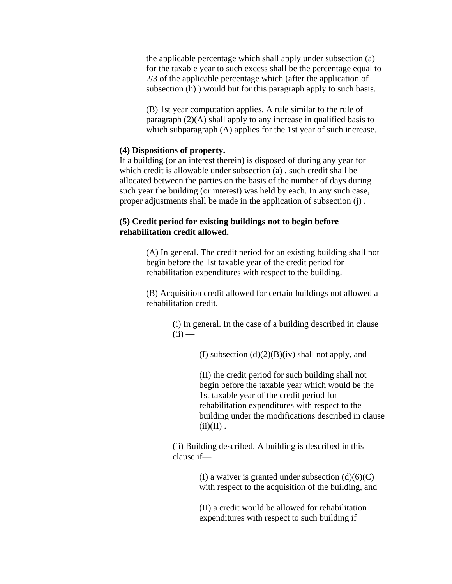the applicable percentage which shall apply under subsection (a) for the taxable year to such excess shall be the percentage equal to 2/3 of the applicable percentage which (after the application of subsection (h) ) would but for this paragraph apply to such basis.

(B) 1st year computation applies. A rule similar to the rule of paragraph (2)(A) shall apply to any increase in qualified basis to which subparagraph (A) applies for the 1st year of such increase.

## **(4) Dispositions of property.**

If a building (or an interest therein) is disposed of during any year for which credit is allowable under subsection (a) , such credit shall be allocated between the parties on the basis of the number of days during such year the building (or interest) was held by each. In any such case, proper adjustments shall be made in the application of subsection (j) .

# **(5) Credit period for existing buildings not to begin before rehabilitation credit allowed.**

(A) In general. The credit period for an existing building shall not begin before the 1st taxable year of the credit period for rehabilitation expenditures with respect to the building.

(B) Acquisition credit allowed for certain buildings not allowed a rehabilitation credit.

> (i) In general. In the case of a building described in clause  $(ii)$  —

> > (I) subsection  $(d)(2)(B)(iv)$  shall not apply, and

(II) the credit period for such building shall not begin before the taxable year which would be the 1st taxable year of the credit period for rehabilitation expenditures with respect to the building under the modifications described in clause  $(ii)(II)$ .

(ii) Building described. A building is described in this clause if—

> (I) a waiver is granted under subsection  $(d)(6)(C)$ with respect to the acquisition of the building, and

(II) a credit would be allowed for rehabilitation expenditures with respect to such building if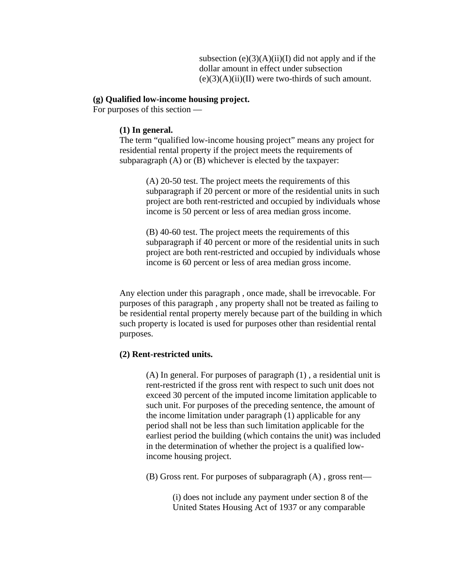subsection  $(e)(3)(A)(ii)(I)$  did not apply and if the dollar amount in effect under subsection  $(e)(3)(A)(ii)(II)$  were two-thirds of such amount.

## **(g) Qualified low-income housing project.**

For purposes of this section —

## **(1) In general.**

The term "qualified low-income housing project" means any project for residential rental property if the project meets the requirements of subparagraph (A) or (B) whichever is elected by the taxpayer:

> (A) 20-50 test. The project meets the requirements of this subparagraph if 20 percent or more of the residential units in such project are both rent-restricted and occupied by individuals whose income is 50 percent or less of area median gross income.

> (B) 40-60 test. The project meets the requirements of this subparagraph if 40 percent or more of the residential units in such project are both rent-restricted and occupied by individuals whose income is 60 percent or less of area median gross income.

Any election under this paragraph , once made, shall be irrevocable. For purposes of this paragraph , any property shall not be treated as failing to be residential rental property merely because part of the building in which such property is located is used for purposes other than residential rental purposes.

## **(2) Rent-restricted units.**

(A) In general. For purposes of paragraph (1) , a residential unit is rent-restricted if the gross rent with respect to such unit does not exceed 30 percent of the imputed income limitation applicable to such unit. For purposes of the preceding sentence, the amount of the income limitation under paragraph (1) applicable for any period shall not be less than such limitation applicable for the earliest period the building (which contains the unit) was included in the determination of whether the project is a qualified lowincome housing project.

(B) Gross rent. For purposes of subparagraph (A) , gross rent—

(i) does not include any payment under section 8 of the United States Housing Act of 1937 or any comparable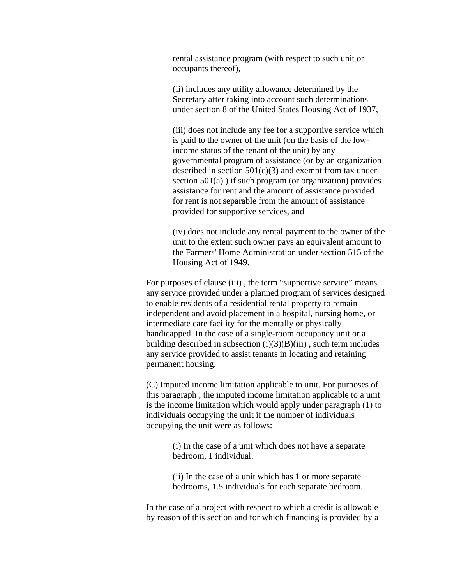rental assistance program (with respect to such unit or occupants thereof),

(ii) includes any utility allowance determined by the Secretary after taking into account such determinations under section 8 of the United States Housing Act of 1937,

(iii) does not include any fee for a supportive service which is paid to the owner of the unit (on the basis of the lowincome status of the tenant of the unit) by any governmental program of assistance (or by an organization described in section  $501(c)(3)$  and exempt from tax under section  $501(a)$ ) if such program (or organization) provides assistance for rent and the amount of assistance provided for rent is not separable from the amount of assistance provided for supportive services, and

(iv) does not include any rental payment to the owner of the unit to the extent such owner pays an equivalent amount to the Farmers' Home Administration under section 515 of the Housing Act of 1949.

For purposes of clause (iii), the term "supportive service" means any service provided under a planned program of services designed to enable residents of a residential rental property to remain independent and avoid placement in a hospital, nursing home, or intermediate care facility for the mentally or physically handicapped. In the case of a single-room occupancy unit or a building described in subsection  $(i)(3)(B)(iii)$ , such term includes any service provided to assist tenants in locating and retaining permanent housing.

(C) Imputed income limitation applicable to unit. For purposes of this paragraph , the imputed income limitation applicable to a unit is the income limitation which would apply under paragraph (1) to individuals occupying the unit if the number of individuals occupying the unit were as follows:

> (i) In the case of a unit which does not have a separate bedroom, 1 individual.

(ii) In the case of a unit which has 1 or more separate bedrooms, 1.5 individuals for each separate bedroom.

In the case of a project with respect to which a credit is allowable by reason of this section and for which financing is provided by a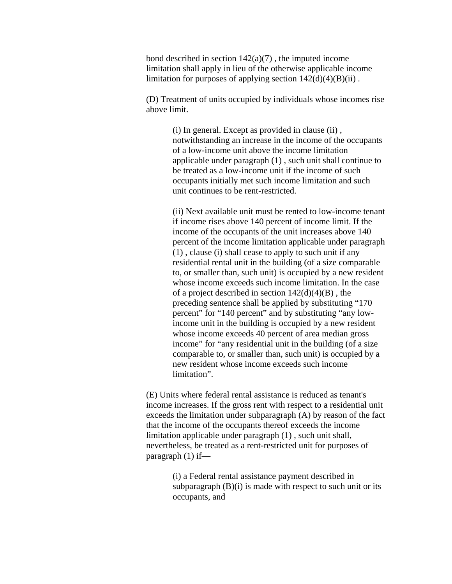bond described in section  $142(a)(7)$ , the imputed income limitation shall apply in lieu of the otherwise applicable income limitation for purposes of applying section  $142(d)(4)(B)(ii)$ .

(D) Treatment of units occupied by individuals whose incomes rise above limit.

> (i) In general. Except as provided in clause (ii) , notwithstanding an increase in the income of the occupants of a low-income unit above the income limitation applicable under paragraph (1) , such unit shall continue to be treated as a low-income unit if the income of such occupants initially met such income limitation and such unit continues to be rent-restricted.

(ii) Next available unit must be rented to low-income tenant if income rises above 140 percent of income limit. If the income of the occupants of the unit increases above 140 percent of the income limitation applicable under paragraph (1) , clause (i) shall cease to apply to such unit if any residential rental unit in the building (of a size comparable to, or smaller than, such unit) is occupied by a new resident whose income exceeds such income limitation. In the case of a project described in section  $142(d)(4)(B)$ , the preceding sentence shall be applied by substituting "170 percent" for "140 percent" and by substituting "any lowincome unit in the building is occupied by a new resident whose income exceeds 40 percent of area median gross income" for "any residential unit in the building (of a size comparable to, or smaller than, such unit) is occupied by a new resident whose income exceeds such income limitation".

(E) Units where federal rental assistance is reduced as tenant's income increases. If the gross rent with respect to a residential unit exceeds the limitation under subparagraph (A) by reason of the fact that the income of the occupants thereof exceeds the income limitation applicable under paragraph (1) , such unit shall, nevertheless, be treated as a rent-restricted unit for purposes of paragraph (1) if—

> (i) a Federal rental assistance payment described in subparagraph  $(B)(i)$  is made with respect to such unit or its occupants, and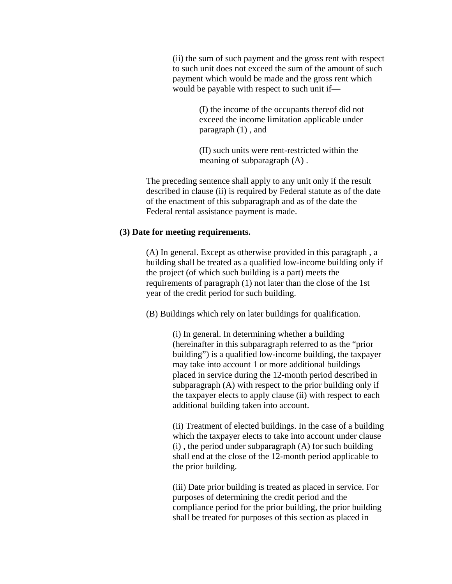(ii) the sum of such payment and the gross rent with respect to such unit does not exceed the sum of the amount of such payment which would be made and the gross rent which would be payable with respect to such unit if—

> (I) the income of the occupants thereof did not exceed the income limitation applicable under paragraph (1) , and

(II) such units were rent-restricted within the meaning of subparagraph (A) .

The preceding sentence shall apply to any unit only if the result described in clause (ii) is required by Federal statute as of the date of the enactment of this subparagraph and as of the date the Federal rental assistance payment is made.

#### **(3) Date for meeting requirements.**

(A) In general. Except as otherwise provided in this paragraph , a building shall be treated as a qualified low-income building only if the project (of which such building is a part) meets the requirements of paragraph (1) not later than the close of the 1st year of the credit period for such building.

(B) Buildings which rely on later buildings for qualification.

(i) In general. In determining whether a building (hereinafter in this subparagraph referred to as the "prior building") is a qualified low-income building, the taxpayer may take into account 1 or more additional buildings placed in service during the 12-month period described in subparagraph (A) with respect to the prior building only if the taxpayer elects to apply clause (ii) with respect to each additional building taken into account.

(ii) Treatment of elected buildings. In the case of a building which the taxpayer elects to take into account under clause (i) , the period under subparagraph (A) for such building shall end at the close of the 12-month period applicable to the prior building.

(iii) Date prior building is treated as placed in service. For purposes of determining the credit period and the compliance period for the prior building, the prior building shall be treated for purposes of this section as placed in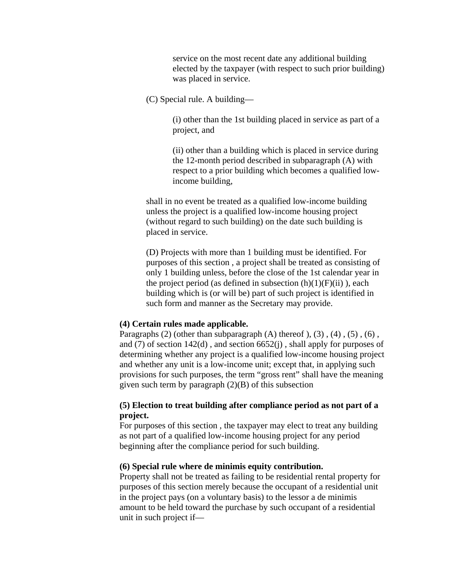service on the most recent date any additional building elected by the taxpayer (with respect to such prior building) was placed in service.

(C) Special rule. A building—

(i) other than the 1st building placed in service as part of a project, and

(ii) other than a building which is placed in service during the 12-month period described in subparagraph (A) with respect to a prior building which becomes a qualified lowincome building,

shall in no event be treated as a qualified low-income building unless the project is a qualified low-income housing project (without regard to such building) on the date such building is placed in service.

(D) Projects with more than 1 building must be identified. For purposes of this section , a project shall be treated as consisting of only 1 building unless, before the close of the 1st calendar year in the project period (as defined in subsection  $(h)(1)(F)(ii)$ ), each building which is (or will be) part of such project is identified in such form and manner as the Secretary may provide.

#### **(4) Certain rules made applicable.**

Paragraphs  $(2)$  (other than subparagraph  $(A)$  thereof  $(3)$ ,  $(4)$ ,  $(5)$ ,  $(6)$ , and (7) of section 142(d) , and section 6652(j) , shall apply for purposes of determining whether any project is a qualified low-income housing project and whether any unit is a low-income unit; except that, in applying such provisions for such purposes, the term "gross rent" shall have the meaning given such term by paragraph  $(2)(B)$  of this subsection

# **(5) Election to treat building after compliance period as not part of a project.**

For purposes of this section , the taxpayer may elect to treat any building as not part of a qualified low-income housing project for any period beginning after the compliance period for such building.

### **(6) Special rule where de minimis equity contribution.**

Property shall not be treated as failing to be residential rental property for purposes of this section merely because the occupant of a residential unit in the project pays (on a voluntary basis) to the lessor a de minimis amount to be held toward the purchase by such occupant of a residential unit in such project if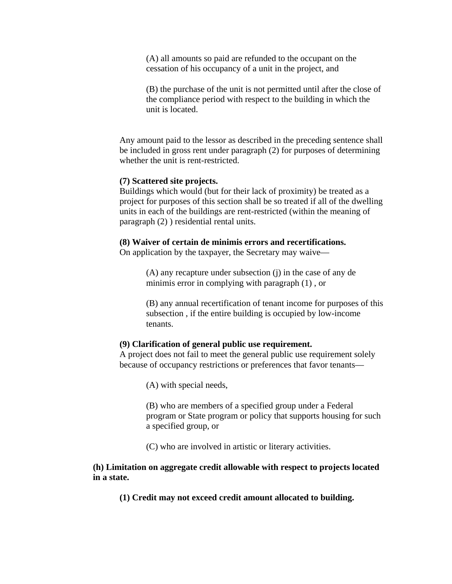(A) all amounts so paid are refunded to the occupant on the cessation of his occupancy of a unit in the project, and

(B) the purchase of the unit is not permitted until after the close of the compliance period with respect to the building in which the unit is located.

Any amount paid to the lessor as described in the preceding sentence shall be included in gross rent under paragraph (2) for purposes of determining whether the unit is rent-restricted.

#### **(7) Scattered site projects.**

Buildings which would (but for their lack of proximity) be treated as a project for purposes of this section shall be so treated if all of the dwelling units in each of the buildings are rent-restricted (within the meaning of paragraph (2) ) residential rental units.

#### **(8) Waiver of certain de minimis errors and recertifications.**

On application by the taxpayer, the Secretary may waive—

(A) any recapture under subsection (j) in the case of any de minimis error in complying with paragraph (1) , or

(B) any annual recertification of tenant income for purposes of this subsection , if the entire building is occupied by low-income tenants.

## **(9) Clarification of general public use requirement.**

A project does not fail to meet the general public use requirement solely because of occupancy restrictions or preferences that favor tenants—

(A) with special needs,

(B) who are members of a specified group under a Federal program or State program or policy that supports housing for such a specified group, or

(C) who are involved in artistic or literary activities.

# **(h) Limitation on aggregate credit allowable with respect to projects located in a state.**

**(1) Credit may not exceed credit amount allocated to building.**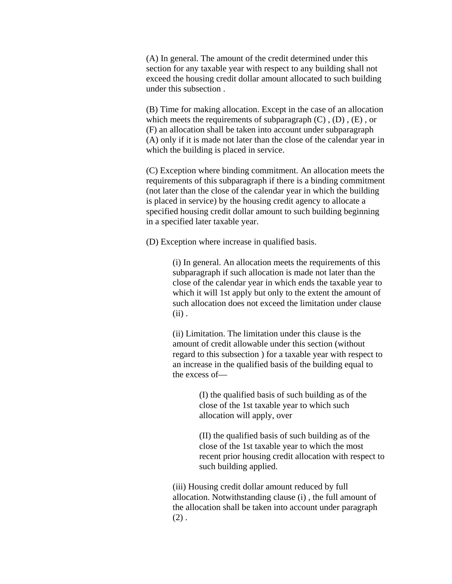(A) In general. The amount of the credit determined under this section for any taxable year with respect to any building shall not exceed the housing credit dollar amount allocated to such building under this subsection .

(B) Time for making allocation. Except in the case of an allocation which meets the requirements of subparagraph  $(C)$ ,  $(D)$ ,  $(E)$ , or (F) an allocation shall be taken into account under subparagraph (A) only if it is made not later than the close of the calendar year in which the building is placed in service.

(C) Exception where binding commitment. An allocation meets the requirements of this subparagraph if there is a binding commitment (not later than the close of the calendar year in which the building is placed in service) by the housing credit agency to allocate a specified housing credit dollar amount to such building beginning in a specified later taxable year.

(D) Exception where increase in qualified basis.

(i) In general. An allocation meets the requirements of this subparagraph if such allocation is made not later than the close of the calendar year in which ends the taxable year to which it will 1st apply but only to the extent the amount of such allocation does not exceed the limitation under clause  $(ii)$ .

(ii) Limitation. The limitation under this clause is the amount of credit allowable under this section (without regard to this subsection ) for a taxable year with respect to an increase in the qualified basis of the building equal to the excess of—

> (I) the qualified basis of such building as of the close of the 1st taxable year to which such allocation will apply, over

(II) the qualified basis of such building as of the close of the 1st taxable year to which the most recent prior housing credit allocation with respect to such building applied.

(iii) Housing credit dollar amount reduced by full allocation. Notwithstanding clause (i) , the full amount of the allocation shall be taken into account under paragraph  $(2)$ .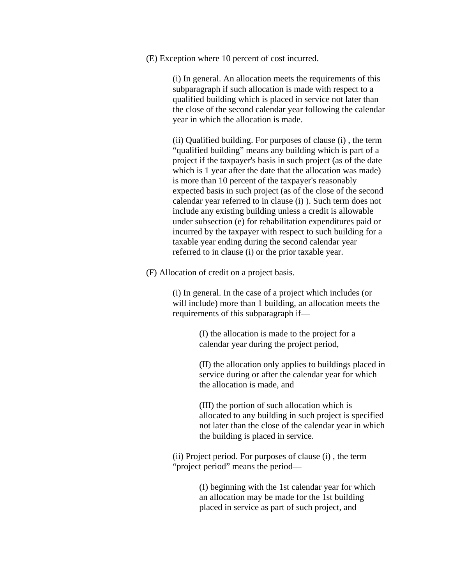(E) Exception where 10 percent of cost incurred.

(i) In general. An allocation meets the requirements of this subparagraph if such allocation is made with respect to a qualified building which is placed in service not later than the close of the second calendar year following the calendar year in which the allocation is made.

(ii) Qualified building. For purposes of clause (i) , the term "qualified building" means any building which is part of a project if the taxpayer's basis in such project (as of the date which is 1 year after the date that the allocation was made) is more than 10 percent of the taxpayer's reasonably expected basis in such project (as of the close of the second calendar year referred to in clause (i) ). Such term does not include any existing building unless a credit is allowable under subsection (e) for rehabilitation expenditures paid or incurred by the taxpayer with respect to such building for a taxable year ending during the second calendar year referred to in clause (i) or the prior taxable year.

(F) Allocation of credit on a project basis.

(i) In general. In the case of a project which includes (or will include) more than 1 building, an allocation meets the requirements of this subparagraph if—

> (I) the allocation is made to the project for a calendar year during the project period,

(II) the allocation only applies to buildings placed in service during or after the calendar year for which the allocation is made, and

(III) the portion of such allocation which is allocated to any building in such project is specified not later than the close of the calendar year in which the building is placed in service.

(ii) Project period. For purposes of clause (i) , the term "project period" means the period—

> (I) beginning with the 1st calendar year for which an allocation may be made for the 1st building placed in service as part of such project, and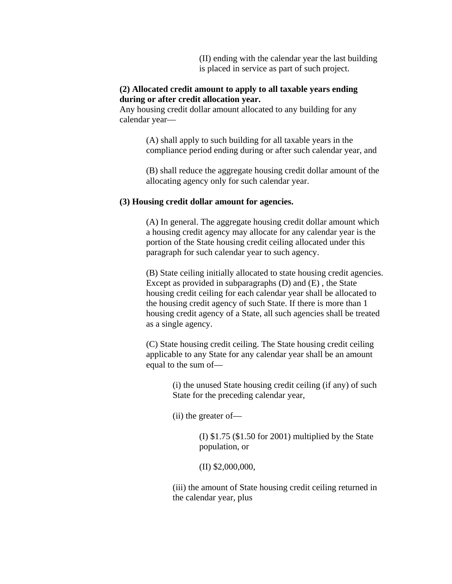(II) ending with the calendar year the last building is placed in service as part of such project.

# **(2) Allocated credit amount to apply to all taxable years ending during or after credit allocation year.**

Any housing credit dollar amount allocated to any building for any calendar year—

> (A) shall apply to such building for all taxable years in the compliance period ending during or after such calendar year, and

> (B) shall reduce the aggregate housing credit dollar amount of the allocating agency only for such calendar year.

#### **(3) Housing credit dollar amount for agencies.**

(A) In general. The aggregate housing credit dollar amount which a housing credit agency may allocate for any calendar year is the portion of the State housing credit ceiling allocated under this paragraph for such calendar year to such agency.

(B) State ceiling initially allocated to state housing credit agencies. Except as provided in subparagraphs (D) and (E) , the State housing credit ceiling for each calendar year shall be allocated to the housing credit agency of such State. If there is more than 1 housing credit agency of a State, all such agencies shall be treated as a single agency.

(C) State housing credit ceiling. The State housing credit ceiling applicable to any State for any calendar year shall be an amount equal to the sum of—

> (i) the unused State housing credit ceiling (if any) of such State for the preceding calendar year,

(ii) the greater of—

(I) \$1.75 (\$1.50 for 2001) multiplied by the State population, or

(II) \$2,000,000,

(iii) the amount of State housing credit ceiling returned in the calendar year, plus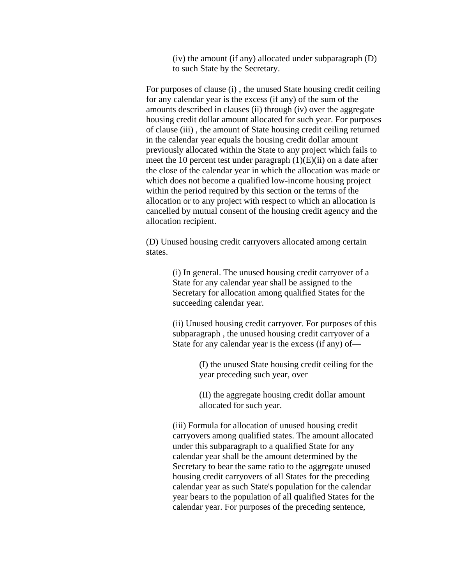(iv) the amount (if any) allocated under subparagraph (D) to such State by the Secretary.

For purposes of clause (i) , the unused State housing credit ceiling for any calendar year is the excess (if any) of the sum of the amounts described in clauses (ii) through (iv) over the aggregate housing credit dollar amount allocated for such year. For purposes of clause (iii) , the amount of State housing credit ceiling returned in the calendar year equals the housing credit dollar amount previously allocated within the State to any project which fails to meet the 10 percent test under paragraph (1)(E)(ii) on a date after the close of the calendar year in which the allocation was made or which does not become a qualified low-income housing project within the period required by this section or the terms of the allocation or to any project with respect to which an allocation is cancelled by mutual consent of the housing credit agency and the allocation recipient.

(D) Unused housing credit carryovers allocated among certain states.

> (i) In general. The unused housing credit carryover of a State for any calendar year shall be assigned to the Secretary for allocation among qualified States for the succeeding calendar year.

(ii) Unused housing credit carryover. For purposes of this subparagraph , the unused housing credit carryover of a State for any calendar year is the excess (if any) of—

> (I) the unused State housing credit ceiling for the year preceding such year, over

(II) the aggregate housing credit dollar amount allocated for such year.

(iii) Formula for allocation of unused housing credit carryovers among qualified states. The amount allocated under this subparagraph to a qualified State for any calendar year shall be the amount determined by the Secretary to bear the same ratio to the aggregate unused housing credit carryovers of all States for the preceding calendar year as such State's population for the calendar year bears to the population of all qualified States for the calendar year. For purposes of the preceding sentence,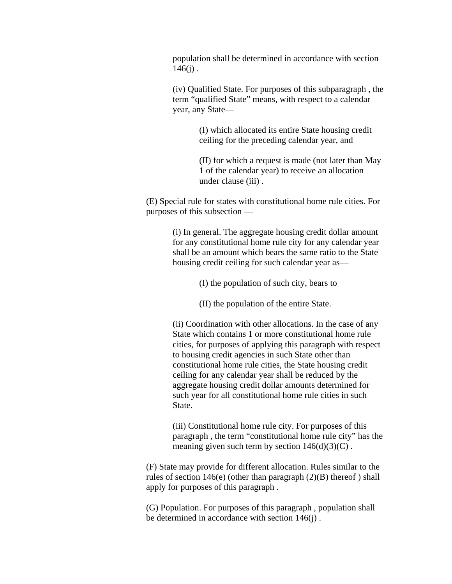population shall be determined in accordance with section  $146(j)$ .

(iv) Qualified State. For purposes of this subparagraph , the term "qualified State" means, with respect to a calendar year, any State—

> (I) which allocated its entire State housing credit ceiling for the preceding calendar year, and

(II) for which a request is made (not later than May 1 of the calendar year) to receive an allocation under clause (iii) .

(E) Special rule for states with constitutional home rule cities. For purposes of this subsection —

> (i) In general. The aggregate housing credit dollar amount for any constitutional home rule city for any calendar year shall be an amount which bears the same ratio to the State housing credit ceiling for such calendar year as—

> > (I) the population of such city, bears to

(II) the population of the entire State.

(ii) Coordination with other allocations. In the case of any State which contains 1 or more constitutional home rule cities, for purposes of applying this paragraph with respect to housing credit agencies in such State other than constitutional home rule cities, the State housing credit ceiling for any calendar year shall be reduced by the aggregate housing credit dollar amounts determined for such year for all constitutional home rule cities in such State.

(iii) Constitutional home rule city. For purposes of this paragraph , the term "constitutional home rule city" has the meaning given such term by section  $146(d)(3)(C)$ .

(F) State may provide for different allocation. Rules similar to the rules of section  $146(e)$  (other than paragraph  $(2)(B)$  thereof) shall apply for purposes of this paragraph .

(G) Population. For purposes of this paragraph , population shall be determined in accordance with section 146(j) .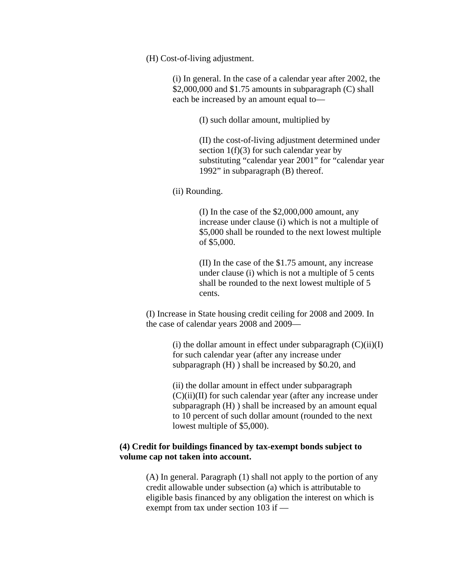(H) Cost-of-living adjustment.

(i) In general. In the case of a calendar year after 2002, the \$2,000,000 and \$1.75 amounts in subparagraph (C) shall each be increased by an amount equal to—

(I) such dollar amount, multiplied by

(II) the cost-of-living adjustment determined under section  $1(f)(3)$  for such calendar year by substituting "calendar year 2001" for "calendar year 1992" in subparagraph (B) thereof.

(ii) Rounding.

(I) In the case of the \$2,000,000 amount, any increase under clause (i) which is not a multiple of \$5,000 shall be rounded to the next lowest multiple of \$5,000.

(II) In the case of the \$1.75 amount, any increase under clause (i) which is not a multiple of 5 cents shall be rounded to the next lowest multiple of 5 cents.

(I) Increase in State housing credit ceiling for 2008 and 2009. In the case of calendar years 2008 and 2009—

> (i) the dollar amount in effect under subparagraph  $(C)(ii)(I)$ for such calendar year (after any increase under subparagraph (H) ) shall be increased by \$0.20, and

(ii) the dollar amount in effect under subparagraph  $(C)(ii)(II)$  for such calendar year (after any increase under subparagraph (H) ) shall be increased by an amount equal to 10 percent of such dollar amount (rounded to the next lowest multiple of \$5,000).

# **(4) Credit for buildings financed by tax-exempt bonds subject to volume cap not taken into account.**

(A) In general. Paragraph (1) shall not apply to the portion of any credit allowable under subsection (a) which is attributable to eligible basis financed by any obligation the interest on which is exempt from tax under section 103 if —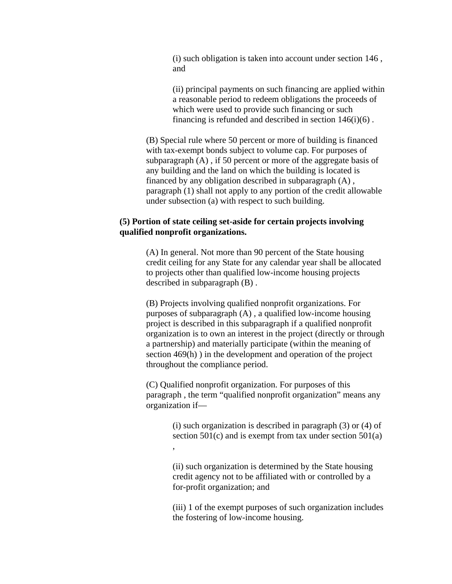(i) such obligation is taken into account under section 146 , and

(ii) principal payments on such financing are applied within a reasonable period to redeem obligations the proceeds of which were used to provide such financing or such financing is refunded and described in section  $146(i)(6)$ .

(B) Special rule where 50 percent or more of building is financed with tax-exempt bonds subject to volume cap. For purposes of subparagraph (A) , if 50 percent or more of the aggregate basis of any building and the land on which the building is located is financed by any obligation described in subparagraph (A) , paragraph (1) shall not apply to any portion of the credit allowable under subsection (a) with respect to such building.

# **(5) Portion of state ceiling set-aside for certain projects involving qualified nonprofit organizations.**

(A) In general. Not more than 90 percent of the State housing credit ceiling for any State for any calendar year shall be allocated to projects other than qualified low-income housing projects described in subparagraph (B) .

(B) Projects involving qualified nonprofit organizations. For purposes of subparagraph (A) , a qualified low-income housing project is described in this subparagraph if a qualified nonprofit organization is to own an interest in the project (directly or through a partnership) and materially participate (within the meaning of section 469(h) ) in the development and operation of the project throughout the compliance period.

(C) Qualified nonprofit organization. For purposes of this paragraph , the term "qualified nonprofit organization" means any organization if—

> (i) such organization is described in paragraph (3) or (4) of section  $501(c)$  and is exempt from tax under section  $501(a)$ ,

(ii) such organization is determined by the State housing credit agency not to be affiliated with or controlled by a for-profit organization; and

(iii) 1 of the exempt purposes of such organization includes the fostering of low-income housing.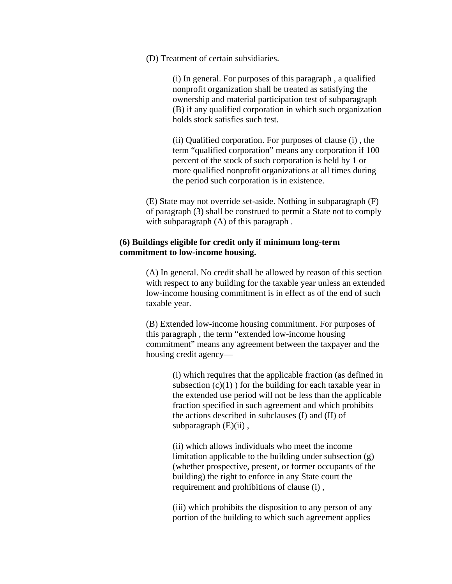(D) Treatment of certain subsidiaries.

(i) In general. For purposes of this paragraph , a qualified nonprofit organization shall be treated as satisfying the ownership and material participation test of subparagraph (B) if any qualified corporation in which such organization holds stock satisfies such test.

(ii) Qualified corporation. For purposes of clause (i) , the term "qualified corporation" means any corporation if 100 percent of the stock of such corporation is held by 1 or more qualified nonprofit organizations at all times during the period such corporation is in existence.

(E) State may not override set-aside. Nothing in subparagraph (F) of paragraph (3) shall be construed to permit a State not to comply with subparagraph  $(A)$  of this paragraph.

# **(6) Buildings eligible for credit only if minimum long-term commitment to low-income housing.**

(A) In general. No credit shall be allowed by reason of this section with respect to any building for the taxable year unless an extended low-income housing commitment is in effect as of the end of such taxable year.

(B) Extended low-income housing commitment. For purposes of this paragraph , the term "extended low-income housing commitment" means any agreement between the taxpayer and the housing credit agency—

> (i) which requires that the applicable fraction (as defined in subsection  $(c)(1)$  ) for the building for each taxable year in the extended use period will not be less than the applicable fraction specified in such agreement and which prohibits the actions described in subclauses (I) and (II) of subparagraph  $(E)(ii)$ ,

(ii) which allows individuals who meet the income limitation applicable to the building under subsection (g) (whether prospective, present, or former occupants of the building) the right to enforce in any State court the requirement and prohibitions of clause (i) ,

(iii) which prohibits the disposition to any person of any portion of the building to which such agreement applies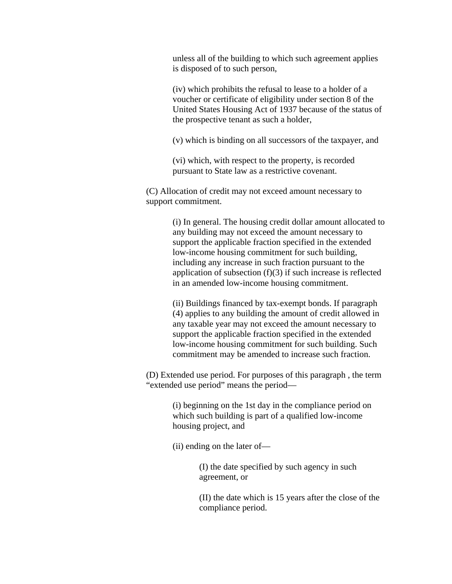unless all of the building to which such agreement applies is disposed of to such person,

(iv) which prohibits the refusal to lease to a holder of a voucher or certificate of eligibility under section 8 of the United States Housing Act of 1937 because of the status of the prospective tenant as such a holder,

(v) which is binding on all successors of the taxpayer, and

(vi) which, with respect to the property, is recorded pursuant to State law as a restrictive covenant.

(C) Allocation of credit may not exceed amount necessary to support commitment.

> (i) In general. The housing credit dollar amount allocated to any building may not exceed the amount necessary to support the applicable fraction specified in the extended low-income housing commitment for such building, including any increase in such fraction pursuant to the application of subsection (f)(3) if such increase is reflected in an amended low-income housing commitment.

(ii) Buildings financed by tax-exempt bonds. If paragraph (4) applies to any building the amount of credit allowed in any taxable year may not exceed the amount necessary to support the applicable fraction specified in the extended low-income housing commitment for such building. Such commitment may be amended to increase such fraction.

(D) Extended use period. For purposes of this paragraph , the term "extended use period" means the period—

> (i) beginning on the 1st day in the compliance period on which such building is part of a qualified low-income housing project, and

(ii) ending on the later of—

(I) the date specified by such agency in such agreement, or

(II) the date which is 15 years after the close of the compliance period.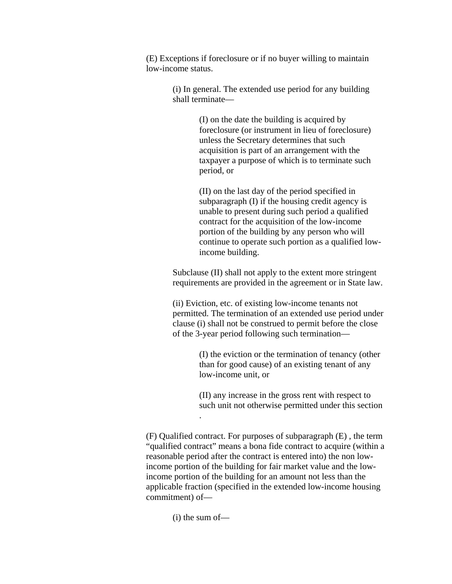(E) Exceptions if foreclosure or if no buyer willing to maintain low-income status.

> (i) In general. The extended use period for any building shall terminate—

> > (I) on the date the building is acquired by foreclosure (or instrument in lieu of foreclosure) unless the Secretary determines that such acquisition is part of an arrangement with the taxpayer a purpose of which is to terminate such period, or

(II) on the last day of the period specified in subparagraph (I) if the housing credit agency is unable to present during such period a qualified contract for the acquisition of the low-income portion of the building by any person who will continue to operate such portion as a qualified lowincome building.

Subclause (II) shall not apply to the extent more stringent requirements are provided in the agreement or in State law.

(ii) Eviction, etc. of existing low-income tenants not permitted. The termination of an extended use period under clause (i) shall not be construed to permit before the close of the 3-year period following such termination—

> (I) the eviction or the termination of tenancy (other than for good cause) of an existing tenant of any low-income unit, or

(II) any increase in the gross rent with respect to such unit not otherwise permitted under this section .

(F) Qualified contract. For purposes of subparagraph (E) , the term "qualified contract" means a bona fide contract to acquire (within a reasonable period after the contract is entered into) the non lowincome portion of the building for fair market value and the lowincome portion of the building for an amount not less than the applicable fraction (specified in the extended low-income housing commitment) of—

(i) the sum of—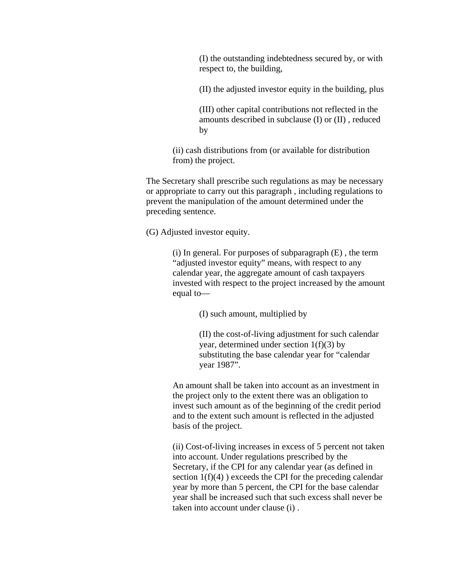(I) the outstanding indebtedness secured by, or with respect to, the building,

(II) the adjusted investor equity in the building, plus

(III) other capital contributions not reflected in the amounts described in subclause (I) or (II) , reduced by

(ii) cash distributions from (or available for distribution from) the project.

The Secretary shall prescribe such regulations as may be necessary or appropriate to carry out this paragraph , including regulations to prevent the manipulation of the amount determined under the preceding sentence.

(G) Adjusted investor equity.

(i) In general. For purposes of subparagraph (E) , the term "adjusted investor equity" means, with respect to any calendar year, the aggregate amount of cash taxpayers invested with respect to the project increased by the amount equal to—

(I) such amount, multiplied by

(II) the cost-of-living adjustment for such calendar year, determined under section  $1(f)(3)$  by substituting the base calendar year for "calendar year 1987".

An amount shall be taken into account as an investment in the project only to the extent there was an obligation to invest such amount as of the beginning of the credit period and to the extent such amount is reflected in the adjusted basis of the project.

(ii) Cost-of-living increases in excess of 5 percent not taken into account. Under regulations prescribed by the Secretary, if the CPI for any calendar year (as defined in section  $1(f)(4)$ ) exceeds the CPI for the preceding calendar year by more than 5 percent, the CPI for the base calendar year shall be increased such that such excess shall never be taken into account under clause (i) .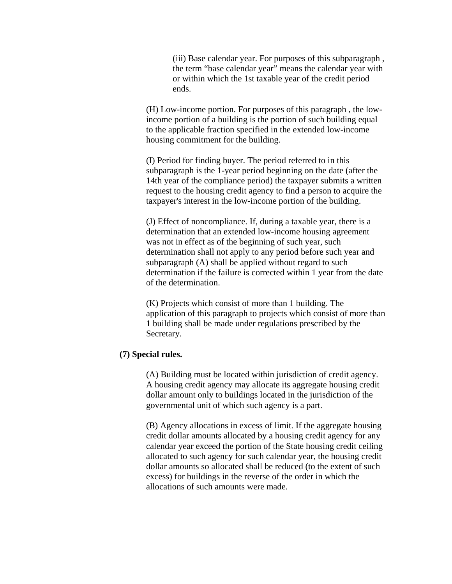(iii) Base calendar year. For purposes of this subparagraph , the term "base calendar year" means the calendar year with or within which the 1st taxable year of the credit period ends.

(H) Low-income portion. For purposes of this paragraph , the lowincome portion of a building is the portion of such building equal to the applicable fraction specified in the extended low-income housing commitment for the building.

(I) Period for finding buyer. The period referred to in this subparagraph is the 1-year period beginning on the date (after the 14th year of the compliance period) the taxpayer submits a written request to the housing credit agency to find a person to acquire the taxpayer's interest in the low-income portion of the building.

(J) Effect of noncompliance. If, during a taxable year, there is a determination that an extended low-income housing agreement was not in effect as of the beginning of such year, such determination shall not apply to any period before such year and subparagraph (A) shall be applied without regard to such determination if the failure is corrected within 1 year from the date of the determination.

(K) Projects which consist of more than 1 building. The application of this paragraph to projects which consist of more than 1 building shall be made under regulations prescribed by the Secretary.

# **(7) Special rules.**

(A) Building must be located within jurisdiction of credit agency. A housing credit agency may allocate its aggregate housing credit dollar amount only to buildings located in the jurisdiction of the governmental unit of which such agency is a part.

(B) Agency allocations in excess of limit. If the aggregate housing credit dollar amounts allocated by a housing credit agency for any calendar year exceed the portion of the State housing credit ceiling allocated to such agency for such calendar year, the housing credit dollar amounts so allocated shall be reduced (to the extent of such excess) for buildings in the reverse of the order in which the allocations of such amounts were made.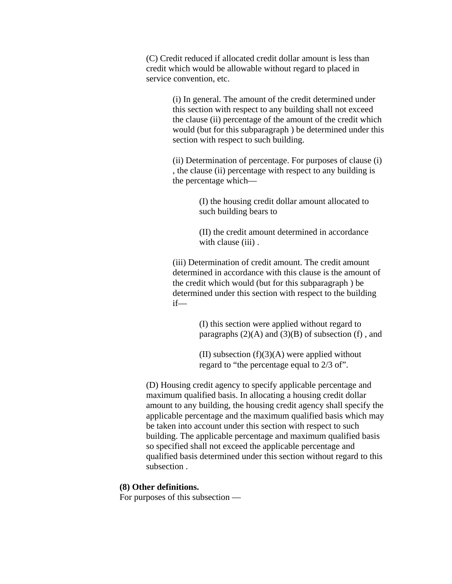(C) Credit reduced if allocated credit dollar amount is less than credit which would be allowable without regard to placed in service convention, etc.

> (i) In general. The amount of the credit determined under this section with respect to any building shall not exceed the clause (ii) percentage of the amount of the credit which would (but for this subparagraph ) be determined under this section with respect to such building.

> (ii) Determination of percentage. For purposes of clause (i) , the clause (ii) percentage with respect to any building is the percentage which—

> > (I) the housing credit dollar amount allocated to such building bears to

> > (II) the credit amount determined in accordance with clause (iii).

(iii) Determination of credit amount. The credit amount determined in accordance with this clause is the amount of the credit which would (but for this subparagraph ) be determined under this section with respect to the building if—

> (I) this section were applied without regard to paragraphs  $(2)(A)$  and  $(3)(B)$  of subsection (f), and

(II) subsection  $(f)(3)(A)$  were applied without regard to "the percentage equal to 2/3 of".

(D) Housing credit agency to specify applicable percentage and maximum qualified basis. In allocating a housing credit dollar amount to any building, the housing credit agency shall specify the applicable percentage and the maximum qualified basis which may be taken into account under this section with respect to such building. The applicable percentage and maximum qualified basis so specified shall not exceed the applicable percentage and qualified basis determined under this section without regard to this subsection .

## **(8) Other definitions.**

For purposes of this subsection —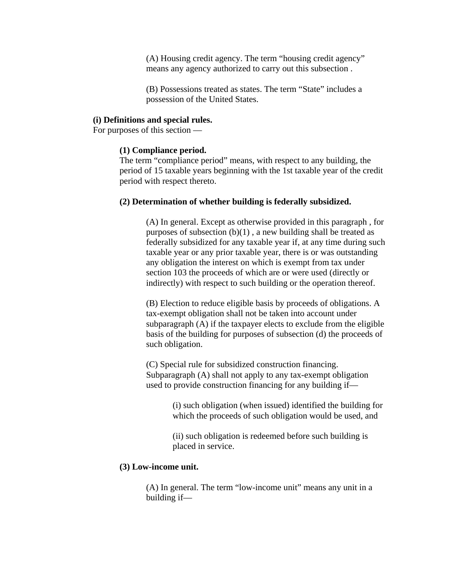(A) Housing credit agency. The term "housing credit agency" means any agency authorized to carry out this subsection .

(B) Possessions treated as states. The term "State" includes a possession of the United States.

#### **(i) Definitions and special rules.**

For purposes of this section —

#### **(1) Compliance period.**

The term "compliance period" means, with respect to any building, the period of 15 taxable years beginning with the 1st taxable year of the credit period with respect thereto.

#### **(2) Determination of whether building is federally subsidized.**

(A) In general. Except as otherwise provided in this paragraph , for purposes of subsection  $(b)(1)$ , a new building shall be treated as federally subsidized for any taxable year if, at any time during such taxable year or any prior taxable year, there is or was outstanding any obligation the interest on which is exempt from tax under section 103 the proceeds of which are or were used (directly or indirectly) with respect to such building or the operation thereof.

(B) Election to reduce eligible basis by proceeds of obligations. A tax-exempt obligation shall not be taken into account under subparagraph (A) if the taxpayer elects to exclude from the eligible basis of the building for purposes of subsection (d) the proceeds of such obligation.

(C) Special rule for subsidized construction financing. Subparagraph (A) shall not apply to any tax-exempt obligation used to provide construction financing for any building if—

> (i) such obligation (when issued) identified the building for which the proceeds of such obligation would be used, and

(ii) such obligation is redeemed before such building is placed in service.

## **(3) Low-income unit.**

(A) In general. The term "low-income unit" means any unit in a building if—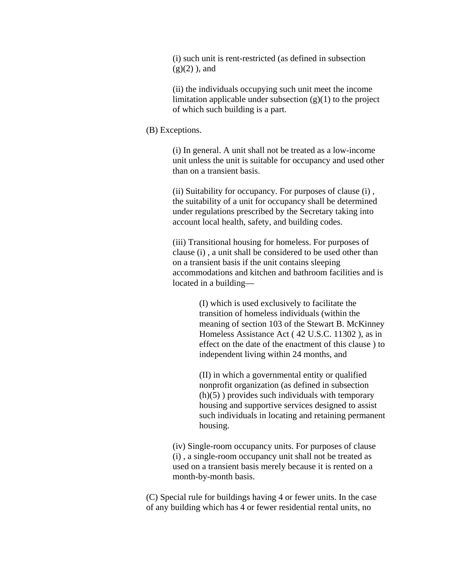(i) such unit is rent-restricted (as defined in subsection  $(g)(2)$ , and

(ii) the individuals occupying such unit meet the income limitation applicable under subsection  $(g)(1)$  to the project of which such building is a part.

#### (B) Exceptions.

(i) In general. A unit shall not be treated as a low-income unit unless the unit is suitable for occupancy and used other than on a transient basis.

(ii) Suitability for occupancy. For purposes of clause (i) , the suitability of a unit for occupancy shall be determined under regulations prescribed by the Secretary taking into account local health, safety, and building codes.

(iii) Transitional housing for homeless. For purposes of clause (i) , a unit shall be considered to be used other than on a transient basis if the unit contains sleeping accommodations and kitchen and bathroom facilities and is located in a building—

> (I) which is used exclusively to facilitate the transition of homeless individuals (within the meaning of section 103 of the Stewart B. McKinney Homeless Assistance Act ( 42 U.S.C. 11302 ), as in effect on the date of the enactment of this clause ) to independent living within 24 months, and

> (II) in which a governmental entity or qualified nonprofit organization (as defined in subsection  $(h)(5)$ ) provides such individuals with temporary housing and supportive services designed to assist such individuals in locating and retaining permanent housing.

(iv) Single-room occupancy units. For purposes of clause (i) , a single-room occupancy unit shall not be treated as used on a transient basis merely because it is rented on a month-by-month basis.

(C) Special rule for buildings having 4 or fewer units. In the case of any building which has 4 or fewer residential rental units, no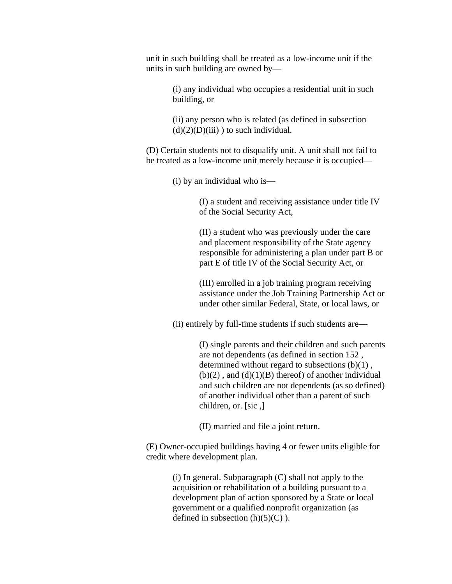unit in such building shall be treated as a low-income unit if the units in such building are owned by—

> (i) any individual who occupies a residential unit in such building, or

(ii) any person who is related (as defined in subsection  $(d)(2)(D)(iii)$ ) to such individual.

(D) Certain students not to disqualify unit. A unit shall not fail to be treated as a low-income unit merely because it is occupied—

(i) by an individual who is—

(I) a student and receiving assistance under title IV of the Social Security Act,

(II) a student who was previously under the care and placement responsibility of the State agency responsible for administering a plan under part B or part E of title IV of the Social Security Act, or

(III) enrolled in a job training program receiving assistance under the Job Training Partnership Act or under other similar Federal, State, or local laws, or

(ii) entirely by full-time students if such students are—

(I) single parents and their children and such parents are not dependents (as defined in section 152 , determined without regard to subsections (b)(1) ,  $(b)(2)$ , and  $(d)(1)(B)$  thereof) of another individual and such children are not dependents (as so defined) of another individual other than a parent of such children, or. [sic ,]

(II) married and file a joint return.

(E) Owner-occupied buildings having 4 or fewer units eligible for credit where development plan.

> (i) In general. Subparagraph (C) shall not apply to the acquisition or rehabilitation of a building pursuant to a development plan of action sponsored by a State or local government or a qualified nonprofit organization (as defined in subsection  $(h)(5)(C)$ ).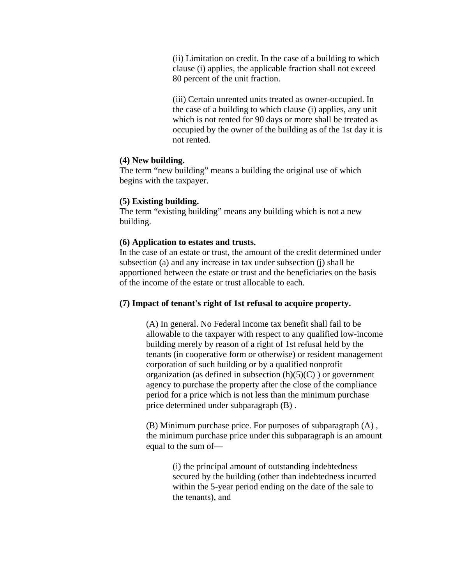(ii) Limitation on credit. In the case of a building to which clause (i) applies, the applicable fraction shall not exceed 80 percent of the unit fraction.

(iii) Certain unrented units treated as owner-occupied. In the case of a building to which clause (i) applies, any unit which is not rented for 90 days or more shall be treated as occupied by the owner of the building as of the 1st day it is not rented.

#### **(4) New building.**

The term "new building" means a building the original use of which begins with the taxpayer.

#### **(5) Existing building.**

The term "existing building" means any building which is not a new building.

#### **(6) Application to estates and trusts.**

In the case of an estate or trust, the amount of the credit determined under subsection (a) and any increase in tax under subsection (j) shall be apportioned between the estate or trust and the beneficiaries on the basis of the income of the estate or trust allocable to each.

## **(7) Impact of tenant's right of 1st refusal to acquire property.**

(A) In general. No Federal income tax benefit shall fail to be allowable to the taxpayer with respect to any qualified low-income building merely by reason of a right of 1st refusal held by the tenants (in cooperative form or otherwise) or resident management corporation of such building or by a qualified nonprofit organization (as defined in subsection  $(h)(5)(C)$ ) or government agency to purchase the property after the close of the compliance period for a price which is not less than the minimum purchase price determined under subparagraph (B) .

(B) Minimum purchase price. For purposes of subparagraph (A) , the minimum purchase price under this subparagraph is an amount equal to the sum of—

> (i) the principal amount of outstanding indebtedness secured by the building (other than indebtedness incurred within the 5-year period ending on the date of the sale to the tenants), and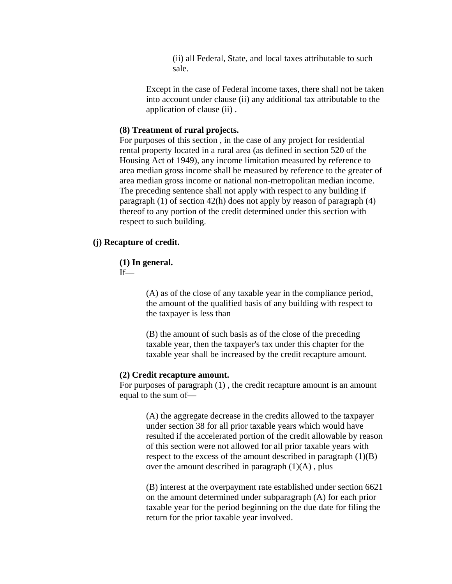(ii) all Federal, State, and local taxes attributable to such sale.

Except in the case of Federal income taxes, there shall not be taken into account under clause (ii) any additional tax attributable to the application of clause (ii) .

## **(8) Treatment of rural projects.**

For purposes of this section , in the case of any project for residential rental property located in a rural area (as defined in section 520 of the Housing Act of 1949), any income limitation measured by reference to area median gross income shall be measured by reference to the greater of area median gross income or national non-metropolitan median income. The preceding sentence shall not apply with respect to any building if paragraph (1) of section 42(h) does not apply by reason of paragraph (4) thereof to any portion of the credit determined under this section with respect to such building.

#### **(j) Recapture of credit.**

#### **(1) In general.**

 $If$ —

(A) as of the close of any taxable year in the compliance period, the amount of the qualified basis of any building with respect to the taxpayer is less than

(B) the amount of such basis as of the close of the preceding taxable year, then the taxpayer's tax under this chapter for the taxable year shall be increased by the credit recapture amount.

### **(2) Credit recapture amount.**

For purposes of paragraph (1) , the credit recapture amount is an amount equal to the sum of—

> (A) the aggregate decrease in the credits allowed to the taxpayer under section 38 for all prior taxable years which would have resulted if the accelerated portion of the credit allowable by reason of this section were not allowed for all prior taxable years with respect to the excess of the amount described in paragraph (1)(B) over the amount described in paragraph  $(1)(A)$ , plus

> (B) interest at the overpayment rate established under section 6621 on the amount determined under subparagraph (A) for each prior taxable year for the period beginning on the due date for filing the return for the prior taxable year involved.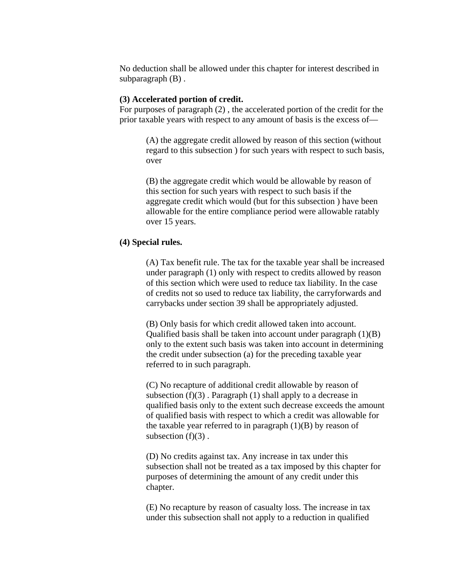No deduction shall be allowed under this chapter for interest described in subparagraph (B) .

## **(3) Accelerated portion of credit.**

For purposes of paragraph (2) , the accelerated portion of the credit for the prior taxable years with respect to any amount of basis is the excess of—

> (A) the aggregate credit allowed by reason of this section (without regard to this subsection ) for such years with respect to such basis, over

(B) the aggregate credit which would be allowable by reason of this section for such years with respect to such basis if the aggregate credit which would (but for this subsection ) have been allowable for the entire compliance period were allowable ratably over 15 years.

# **(4) Special rules.**

(A) Tax benefit rule. The tax for the taxable year shall be increased under paragraph (1) only with respect to credits allowed by reason of this section which were used to reduce tax liability. In the case of credits not so used to reduce tax liability, the carryforwards and carrybacks under section 39 shall be appropriately adjusted.

(B) Only basis for which credit allowed taken into account. Qualified basis shall be taken into account under paragraph  $(1)(B)$ only to the extent such basis was taken into account in determining the credit under subsection (a) for the preceding taxable year referred to in such paragraph.

(C) No recapture of additional credit allowable by reason of subsection  $(f)(3)$ . Paragraph  $(1)$  shall apply to a decrease in qualified basis only to the extent such decrease exceeds the amount of qualified basis with respect to which a credit was allowable for the taxable year referred to in paragraph  $(1)(B)$  by reason of subsection  $(f)(3)$ .

(D) No credits against tax. Any increase in tax under this subsection shall not be treated as a tax imposed by this chapter for purposes of determining the amount of any credit under this chapter.

(E) No recapture by reason of casualty loss. The increase in tax under this subsection shall not apply to a reduction in qualified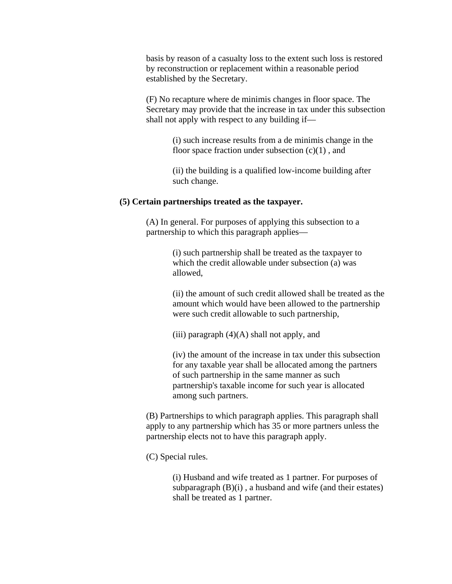basis by reason of a casualty loss to the extent such loss is restored by reconstruction or replacement within a reasonable period established by the Secretary.

(F) No recapture where de minimis changes in floor space. The Secretary may provide that the increase in tax under this subsection shall not apply with respect to any building if—

> (i) such increase results from a de minimis change in the floor space fraction under subsection  $(c)(1)$ , and

> (ii) the building is a qualified low-income building after such change.

#### **(5) Certain partnerships treated as the taxpayer.**

(A) In general. For purposes of applying this subsection to a partnership to which this paragraph applies—

> (i) such partnership shall be treated as the taxpayer to which the credit allowable under subsection (a) was allowed,

(ii) the amount of such credit allowed shall be treated as the amount which would have been allowed to the partnership were such credit allowable to such partnership,

(iii) paragraph  $(4)(A)$  shall not apply, and

(iv) the amount of the increase in tax under this subsection for any taxable year shall be allocated among the partners of such partnership in the same manner as such partnership's taxable income for such year is allocated among such partners.

(B) Partnerships to which paragraph applies. This paragraph shall apply to any partnership which has 35 or more partners unless the partnership elects not to have this paragraph apply.

(C) Special rules.

(i) Husband and wife treated as 1 partner. For purposes of subparagraph (B)(i) , a husband and wife (and their estates) shall be treated as 1 partner.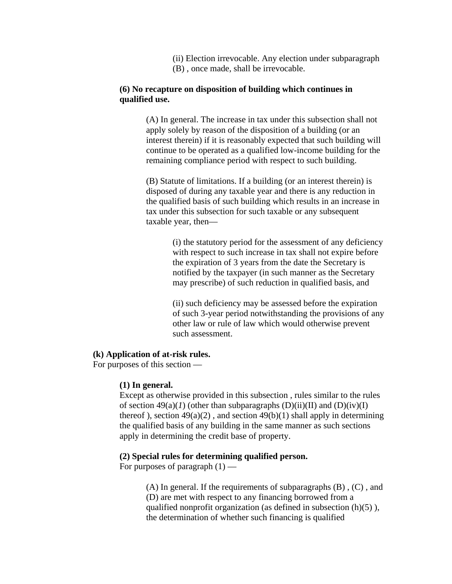(ii) Election irrevocable. Any election under subparagraph (B) , once made, shall be irrevocable.

# **(6) No recapture on disposition of building which continues in qualified use.**

(A) In general. The increase in tax under this subsection shall not apply solely by reason of the disposition of a building (or an interest therein) if it is reasonably expected that such building will continue to be operated as a qualified low-income building for the remaining compliance period with respect to such building.

(B) Statute of limitations. If a building (or an interest therein) is disposed of during any taxable year and there is any reduction in the qualified basis of such building which results in an increase in tax under this subsection for such taxable or any subsequent taxable year, then—

> (i) the statutory period for the assessment of any deficiency with respect to such increase in tax shall not expire before the expiration of 3 years from the date the Secretary is notified by the taxpayer (in such manner as the Secretary may prescribe) of such reduction in qualified basis, and

> (ii) such deficiency may be assessed before the expiration of such 3-year period notwithstanding the provisions of any other law or rule of law which would otherwise prevent such assessment.

## **(k) Application of at-risk rules.**

For purposes of this section —

## **(1) In general.**

Except as otherwise provided in this subsection , rules similar to the rules of section  $49(a)(I)$  (other than subparagraphs  $(D)(ii)(II)$  and  $(D)(iv)(I)$ thereof), section  $49(a)(2)$ , and section  $49(b)(1)$  shall apply in determining the qualified basis of any building in the same manner as such sections apply in determining the credit base of property.

#### **(2) Special rules for determining qualified person.**

For purposes of paragraph  $(1)$  —

 $(A)$  In general. If the requirements of subparagraphs  $(B)$ ,  $(C)$ , and (D) are met with respect to any financing borrowed from a qualified nonprofit organization (as defined in subsection  $(h)(5)$ ), the determination of whether such financing is qualified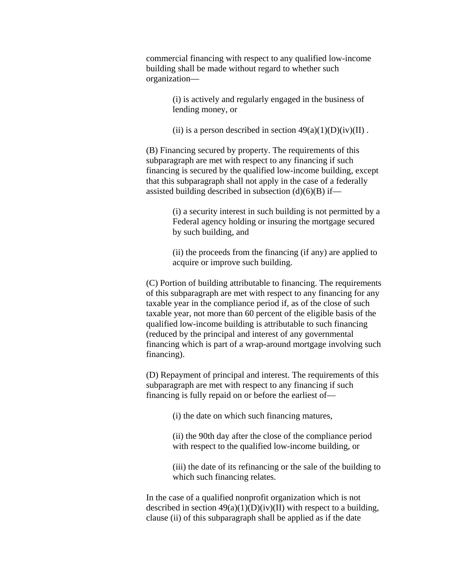commercial financing with respect to any qualified low-income building shall be made without regard to whether such organization—

> (i) is actively and regularly engaged in the business of lending money, or

(ii) is a person described in section  $49(a)(1)(D)(iv)(II)$ .

(B) Financing secured by property. The requirements of this subparagraph are met with respect to any financing if such financing is secured by the qualified low-income building, except that this subparagraph shall not apply in the case of a federally assisted building described in subsection  $(d)(6)(B)$  if—

> (i) a security interest in such building is not permitted by a Federal agency holding or insuring the mortgage secured by such building, and

(ii) the proceeds from the financing (if any) are applied to acquire or improve such building.

(C) Portion of building attributable to financing. The requirements of this subparagraph are met with respect to any financing for any taxable year in the compliance period if, as of the close of such taxable year, not more than 60 percent of the eligible basis of the qualified low-income building is attributable to such financing (reduced by the principal and interest of any governmental financing which is part of a wrap-around mortgage involving such financing).

(D) Repayment of principal and interest. The requirements of this subparagraph are met with respect to any financing if such financing is fully repaid on or before the earliest of—

(i) the date on which such financing matures,

(ii) the 90th day after the close of the compliance period with respect to the qualified low-income building, or

(iii) the date of its refinancing or the sale of the building to which such financing relates.

In the case of a qualified nonprofit organization which is not described in section  $49(a)(1)(D)(iv)(II)$  with respect to a building, clause (ii) of this subparagraph shall be applied as if the date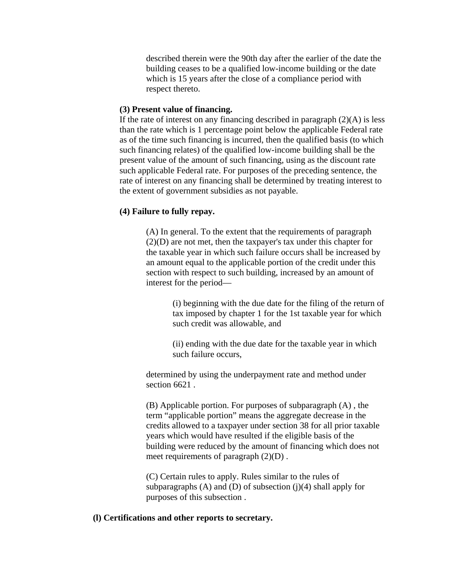described therein were the 90th day after the earlier of the date the building ceases to be a qualified low-income building or the date which is 15 years after the close of a compliance period with respect thereto.

# **(3) Present value of financing.**

If the rate of interest on any financing described in paragraph  $(2)(A)$  is less than the rate which is 1 percentage point below the applicable Federal rate as of the time such financing is incurred, then the qualified basis (to which such financing relates) of the qualified low-income building shall be the present value of the amount of such financing, using as the discount rate such applicable Federal rate. For purposes of the preceding sentence, the rate of interest on any financing shall be determined by treating interest to the extent of government subsidies as not payable.

# **(4) Failure to fully repay.**

(A) In general. To the extent that the requirements of paragraph (2)(D) are not met, then the taxpayer's tax under this chapter for the taxable year in which such failure occurs shall be increased by an amount equal to the applicable portion of the credit under this section with respect to such building, increased by an amount of interest for the period—

> (i) beginning with the due date for the filing of the return of tax imposed by chapter 1 for the 1st taxable year for which such credit was allowable, and

(ii) ending with the due date for the taxable year in which such failure occurs,

determined by using the underpayment rate and method under section 6621 .

(B) Applicable portion. For purposes of subparagraph (A) , the term "applicable portion" means the aggregate decrease in the credits allowed to a taxpayer under section 38 for all prior taxable years which would have resulted if the eligible basis of the building were reduced by the amount of financing which does not meet requirements of paragraph (2)(D) .

(C) Certain rules to apply. Rules similar to the rules of subparagraphs  $(A)$  and  $(D)$  of subsection  $(j)(4)$  shall apply for purposes of this subsection .

#### **(l) Certifications and other reports to secretary.**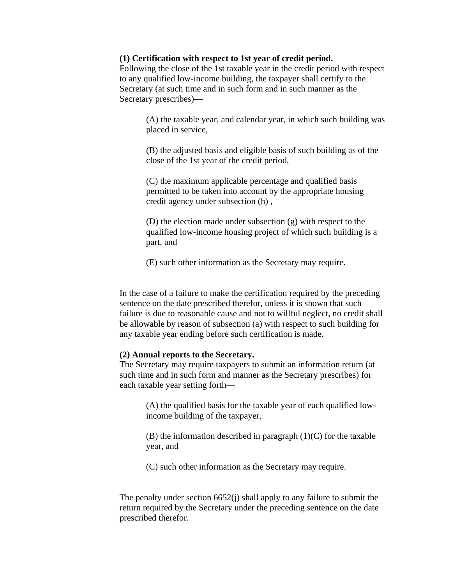#### **(1) Certification with respect to 1st year of credit period.**

Following the close of the 1st taxable year in the credit period with respect to any qualified low-income building, the taxpayer shall certify to the Secretary (at such time and in such form and in such manner as the Secretary prescribes)—

> (A) the taxable year, and calendar year, in which such building was placed in service,

(B) the adjusted basis and eligible basis of such building as of the close of the 1st year of the credit period,

(C) the maximum applicable percentage and qualified basis permitted to be taken into account by the appropriate housing credit agency under subsection (h) ,

(D) the election made under subsection (g) with respect to the qualified low-income housing project of which such building is a part, and

(E) such other information as the Secretary may require.

In the case of a failure to make the certification required by the preceding sentence on the date prescribed therefor, unless it is shown that such failure is due to reasonable cause and not to willful neglect, no credit shall be allowable by reason of subsection (a) with respect to such building for any taxable year ending before such certification is made.

#### **(2) Annual reports to the Secretary.**

The Secretary may require taxpayers to submit an information return (at such time and in such form and manner as the Secretary prescribes) for each taxable year setting forth—

> (A) the qualified basis for the taxable year of each qualified lowincome building of the taxpayer,

> $(B)$  the information described in paragraph  $(1)(C)$  for the taxable year, and

(C) such other information as the Secretary may require.

The penalty under section  $6652(i)$  shall apply to any failure to submit the return required by the Secretary under the preceding sentence on the date prescribed therefor.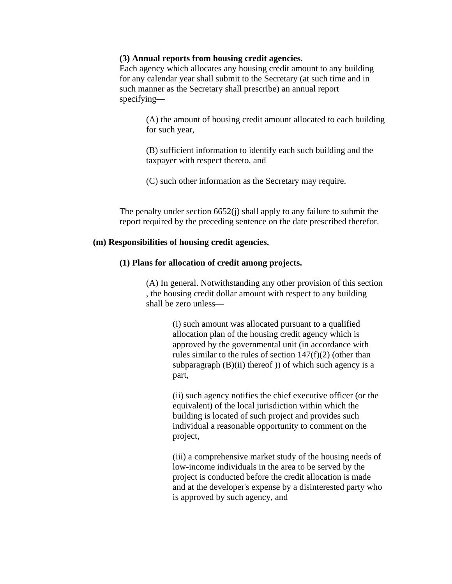## **(3) Annual reports from housing credit agencies.**

Each agency which allocates any housing credit amount to any building for any calendar year shall submit to the Secretary (at such time and in such manner as the Secretary shall prescribe) an annual report specifying—

> (A) the amount of housing credit amount allocated to each building for such year,

(B) sufficient information to identify each such building and the taxpayer with respect thereto, and

(C) such other information as the Secretary may require.

The penalty under section 6652(j) shall apply to any failure to submit the report required by the preceding sentence on the date prescribed therefor.

#### **(m) Responsibilities of housing credit agencies.**

## **(1) Plans for allocation of credit among projects.**

(A) In general. Notwithstanding any other provision of this section , the housing credit dollar amount with respect to any building shall be zero unless—

> (i) such amount was allocated pursuant to a qualified allocation plan of the housing credit agency which is approved by the governmental unit (in accordance with rules similar to the rules of section  $147(f)(2)$  (other than subparagraph  $(B)(ii)$  thereof) of which such agency is a part,

(ii) such agency notifies the chief executive officer (or the equivalent) of the local jurisdiction within which the building is located of such project and provides such individual a reasonable opportunity to comment on the project,

(iii) a comprehensive market study of the housing needs of low-income individuals in the area to be served by the project is conducted before the credit allocation is made and at the developer's expense by a disinterested party who is approved by such agency, and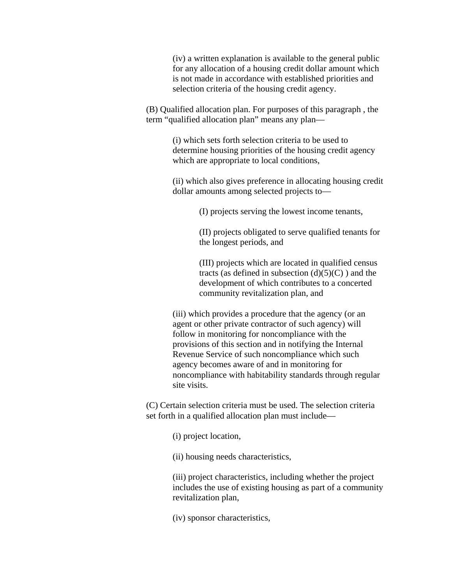(iv) a written explanation is available to the general public for any allocation of a housing credit dollar amount which is not made in accordance with established priorities and selection criteria of the housing credit agency.

(B) Qualified allocation plan. For purposes of this paragraph , the term "qualified allocation plan" means any plan—

> (i) which sets forth selection criteria to be used to determine housing priorities of the housing credit agency which are appropriate to local conditions,

(ii) which also gives preference in allocating housing credit dollar amounts among selected projects to—

(I) projects serving the lowest income tenants,

(II) projects obligated to serve qualified tenants for the longest periods, and

(III) projects which are located in qualified census tracts (as defined in subsection  $(d)(5)(C)$ ) and the development of which contributes to a concerted community revitalization plan, and

(iii) which provides a procedure that the agency (or an agent or other private contractor of such agency) will follow in monitoring for noncompliance with the provisions of this section and in notifying the Internal Revenue Service of such noncompliance which such agency becomes aware of and in monitoring for noncompliance with habitability standards through regular site visits.

(C) Certain selection criteria must be used. The selection criteria set forth in a qualified allocation plan must include—

(i) project location,

(ii) housing needs characteristics,

(iii) project characteristics, including whether the project includes the use of existing housing as part of a community revitalization plan,

(iv) sponsor characteristics,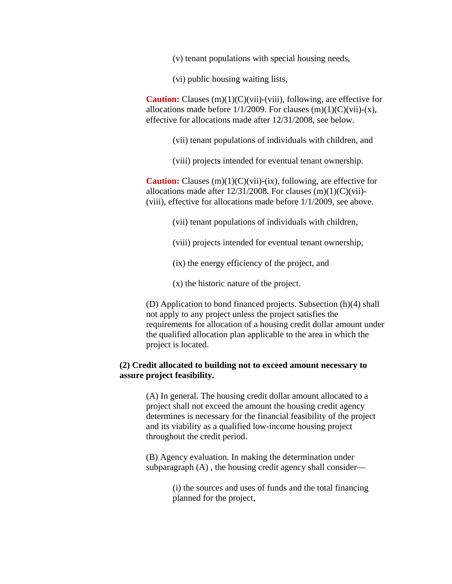(v) tenant populations with special housing needs,

(vi) public housing waiting lists,

**Caution:** Clauses (m)(1)(C)(vii)-(viii), following, are effective for allocations made before  $1/1/2009$ . For clauses  $(m)(1)(C)(vii)-(x)$ , effective for allocations made after 12/31/2008, see below.

(vii) tenant populations of individuals with children, and

(viii) projects intended for eventual tenant ownership.

**Caution:** Clauses (m)(1)(C)(vii)-(ix), following, are effective for allocations made after  $12/31/2008$ . For clauses  $(m)(1)(C)(vi)$ -(viii), effective for allocations made before 1/1/2009, see above.

(vii) tenant populations of individuals with children,

- (viii) projects intended for eventual tenant ownership,
- (ix) the energy efficiency of the project, and
- (x) the historic nature of the project.

(D) Application to bond financed projects. Subsection (h)(4) shall not apply to any project unless the project satisfies the requirements for allocation of a housing credit dollar amount under the qualified allocation plan applicable to the area in which the project is located.

# **(2) Credit allocated to building not to exceed amount necessary to assure project feasibility.**

(A) In general. The housing credit dollar amount allocated to a project shall not exceed the amount the housing credit agency determines is necessary for the financial feasibility of the project and its viability as a qualified low-income housing project throughout the credit period.

(B) Agency evaluation. In making the determination under subparagraph (A) , the housing credit agency shall consider—

> (i) the sources and uses of funds and the total financing planned for the project,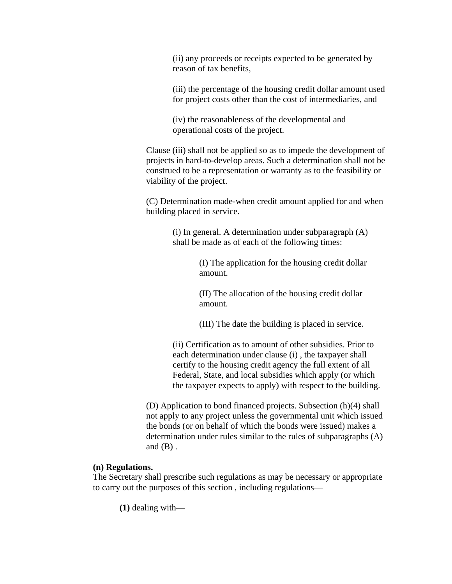(ii) any proceeds or receipts expected to be generated by reason of tax benefits,

(iii) the percentage of the housing credit dollar amount used for project costs other than the cost of intermediaries, and

(iv) the reasonableness of the developmental and operational costs of the project.

Clause (iii) shall not be applied so as to impede the development of projects in hard-to-develop areas. Such a determination shall not be construed to be a representation or warranty as to the feasibility or viability of the project.

(C) Determination made-when credit amount applied for and when building placed in service.

> (i) In general. A determination under subparagraph (A) shall be made as of each of the following times:

> > (I) The application for the housing credit dollar amount.

(II) The allocation of the housing credit dollar amount.

(III) The date the building is placed in service.

(ii) Certification as to amount of other subsidies. Prior to each determination under clause (i) , the taxpayer shall certify to the housing credit agency the full extent of all Federal, State, and local subsidies which apply (or which the taxpayer expects to apply) with respect to the building.

(D) Application to bond financed projects. Subsection (h)(4) shall not apply to any project unless the governmental unit which issued the bonds (or on behalf of which the bonds were issued) makes a determination under rules similar to the rules of subparagraphs (A) and  $(B)$ .

## **(n) Regulations.**

The Secretary shall prescribe such regulations as may be necessary or appropriate to carry out the purposes of this section , including regulations—

**(1)** dealing with—